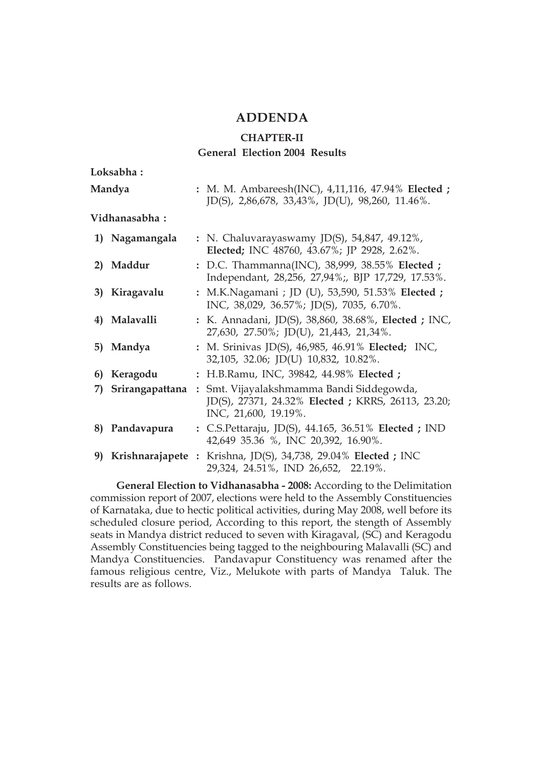#### **ADDENDA**

#### **CHAPTER-II General Election 2004 Results**

| Loksabha:             |                                                                                                                                              |
|-----------------------|----------------------------------------------------------------------------------------------------------------------------------------------|
| Mandya                | : M. M. Ambareesh(INC), 4,11,116, 47.94% Elected ;<br>JD(S), 2,86,678, 33,43%, JD(U), 98,260, 11.46%.                                        |
| Vidhanasabha:         |                                                                                                                                              |
| 1) Nagamangala        | : N. Chaluvarayaswamy JD(S), 54,847, 49.12%,<br>Elected; INC 48760, 43.67%; JP 2928, 2.62%.                                                  |
| 2) Maddur             | : D.C. Thammanna(INC), 38,999, 38.55% Elected ;<br>Independant, 28,256, 27,94%;, BJP 17,729, 17.53%.                                         |
| 3) Kiragavalu         | : M.K.Nagamani ; JD (U), 53,590, 51.53% Elected ;<br>INC, 38,029, 36.57%; JD(S), 7035, 6.70%.                                                |
| 4) Malavalli          | : K. Annadani, JD(S), 38,860, 38.68%, Elected ; INC,<br>27,630, 27.50%; JD(U), 21,443, 21,34%.                                               |
| 5) Mandya             | : M. Srinivas JD(S), 46,985, 46.91% Elected; INC,<br>32,105, 32.06; JD(U) 10,832, 10.82%.                                                    |
| 6) Keragodu           | : H.B.Ramu, INC, 39842, 44.98% Elected;                                                                                                      |
| Srirangapattana<br>7) | Smt. Vijayalakshmamma Bandi Siddegowda,<br>$\ddot{\phantom{a}}$<br>JD(S), 27371, 24.32% Elected; KRRS, 26113, 23.20;<br>INC, 21,600, 19.19%. |
| Pandavapura<br>8)     | : C.S.Pettaraju, JD(S), 44.165, 36.51% Elected; IND<br>42,649 35.36 %, INC 20,392, 16.90%.                                                   |
|                       | 9) Krishnarajapete : Krishna, JD(S), 34,738, 29.04% Elected ; INC<br>29,324, 24.51%, IND 26,652, 22.19%.                                     |

**General Election to Vidhanasabha - 2008:** According to the Delimitation commission report of 2007, elections were held to the Assembly Constituencies of Karnataka, due to hectic political activities, during May 2008, well before its scheduled closure period, According to this report, the stength of Assembly seats in Mandya district reduced to seven with Kiragaval, (SC) and Keragodu Assembly Constituencies being tagged to the neighbouring Malavalli (SC) and Mandya Constituencies. Pandavapur Constituency was renamed after the famous religious centre, Viz., Melukote with parts of Mandya Taluk. The results are as follows.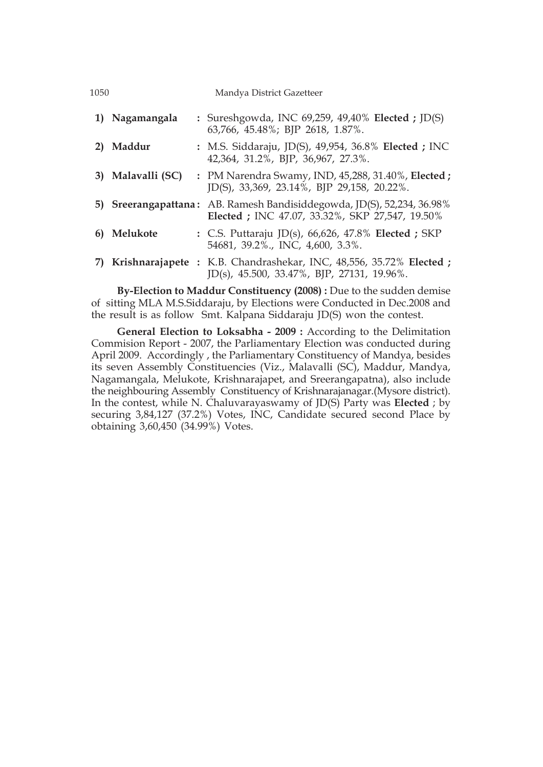| 1050 |                   | Mandya District Gazetteer                                                                                                |
|------|-------------------|--------------------------------------------------------------------------------------------------------------------------|
|      | 1) Nagamangala    | : Sureshgowda, INC 69,259, 49,40% Elected ; JD(S)<br>63,766, 45.48%; BJP 2618, 1.87%.                                    |
|      | Maddur            | : M.S. Siddaraju, JD(S), 49,954, 36.8% Elected; INC<br>42,364, 31.2%, BJP, 36,967, 27.3%.                                |
|      | 3) Malavalli (SC) | : PM Narendra Swamy, IND, 45,288, 31.40%, Elected ;<br>JD(S), 33,369, 23.14%, BJP 29,158, 20.22%.                        |
|      |                   | 5) Sreerangapattana: AB. Ramesh Bandisiddegowda, JD(S), 52,234, 36.98%<br>Elected; INC 47.07, 33.32%, SKP 27,547, 19.50% |
| 6)   | Melukote          | : C.S. Puttaraju JD(s), $66,626$ , 47.8% Elected; SKP<br>54681, 39.2%., INC, 4,600, 3.3%.                                |
|      |                   | Krishnarajapete: K.B. Chandrashekar, INC, 48,556, 35.72% Elected;<br>$JD(s)$ , 45.500, 33.47%, BJP, 27131, 19.96%.       |

**By-Election to Maddur Constituency (2008) :** Due to the sudden demise of sitting MLA M.S.Siddaraju, by Elections were Conducted in Dec.2008 and the result is as follow Smt. Kalpana Siddaraju JD(S) won the contest.

**General Election to Loksabha - 2009 :** According to the Delimitation Commision Report - 2007, the Parliamentary Election was conducted during April 2009. Accordingly , the Parliamentary Constituency of Mandya, besides its seven Assembly Constituencies (Viz., Malavalli (SC), Maddur, Mandya, Nagamangala, Melukote, Krishnarajapet, and Sreerangapatna), also include the neighbouring Assembly Constituency of Krishnarajanagar.(Mysore district). In the contest, while N. Chaluvarayaswamy of JD(S) Party was **Elected** ; by securing 3,84,127 (37.2%) Votes, INC, Candidate secured second Place by obtaining 3,60,450 (34.99%) Votes.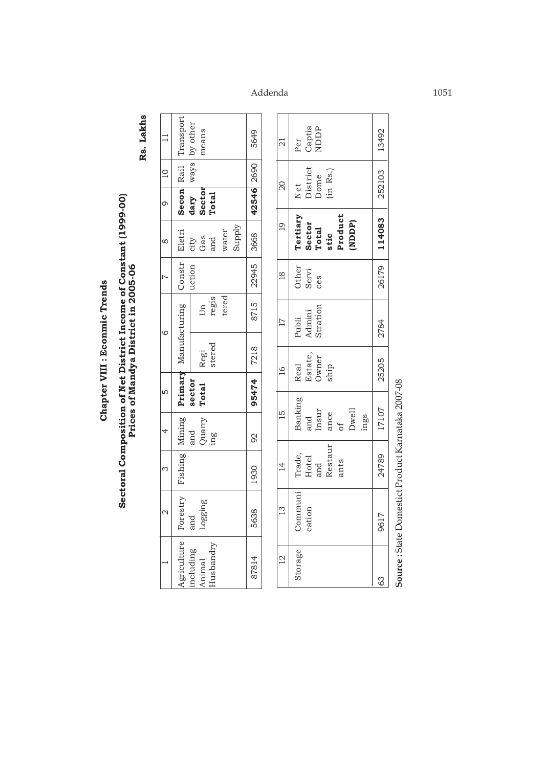# Chapter VIII : Econmic Trends **Chapter VIII : Econmic Trends**

# Sectoral Composition of Net District Income of Constant (1999-00)<br>Prices of Mandya District in 2005-06 **Sectoral Composition of Net District Income of Constant (1999-00) Prices of Mandya District in 2005-06**

Rs. Lakhs **Rs. Lakhs**

|                                                               | Secon Rail Transport<br>ways by other<br>neans                      | 5649                |
|---------------------------------------------------------------|---------------------------------------------------------------------|---------------------|
|                                                               |                                                                     |                     |
| $\begin{array}{c c c c c} \hline 0 & 10 & \hline \end{array}$ | Sector<br>dary<br>Total                                             | 42546 2690          |
| $\infty$                                                      | Supply<br>water<br>city<br>Gas<br>and                               | 8715   22945   3668 |
|                                                               | uction                                                              |                     |
|                                                               | regis<br>tered<br>Jд                                                |                     |
|                                                               | Regi<br>stered                                                      |                     |
| Lſ.                                                           | Total<br>sector                                                     | 95474 7218          |
| $\ddot{ }$                                                    | Quarry<br>ing<br>and                                                | 92                  |
| $\infty$                                                      | Fishing Mining Primary Manufacturing Constr Eletri                  | 1930                |
|                                                               | Forestry<br>and<br>Logging                                          | 5638                |
|                                                               | $\sqrt[4]{3}$ agriculture $\mid$<br>iusbandry<br>ncluding<br>Animal | 87814               |

| $\overline{\Omega}$ | Per<br>Captia<br>NDDP                                             | 13492  |
|---------------------|-------------------------------------------------------------------|--------|
| 20                  | Net<br>District<br>Dome<br>(in Rs.)                               | 252103 |
| <b>19</b>           | Tertiary<br>Sector<br>Total<br>stic<br>Product<br>(NDDP)          | 114083 |
| $\frac{18}{18}$     | Other<br>Servi<br>ces                                             | 26179  |
| $\overline{17}$     | Publi<br>Admini<br>Stration                                       | 2784   |
| 16                  | Real<br>Estate,<br>Owner<br>ship                                  | 25205  |
| 15                  | Banking<br>and<br>msur<br>msur<br>do f<br>Dwell<br>Dwell<br>Dwell | 17107  |
| 14                  | Trade,<br>Hotel<br>and<br>Restaur<br>Restaur                      | 24789  |
| 13                  | Communi  <br>cation                                               | 9617   |
| $\frac{1}{2}$       | Storage                                                           | 3      |

Source: State Domestict Product Karnataka 2007-08 **Source :** State Domestict Product Karnataka 2007-08

Addenda 1051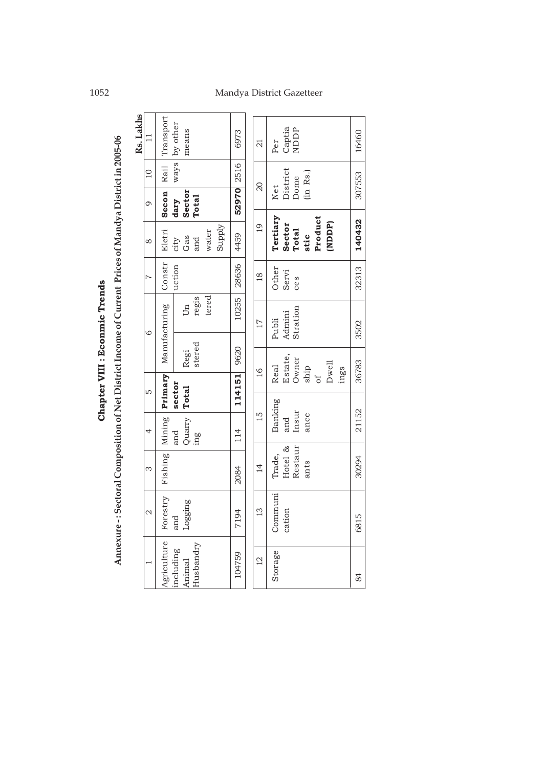Chapter VIII : Econmic Trends **Chapter VIII : Econmic Trends**

| Rs. Lakhs<br>$\mathbf{1}$ | Transport                | by other<br>means                                |                 | 6973   | $\overline{a}$  | Per         | Captia   | NDDP     |          |         |        |      | 16460     |
|---------------------------|--------------------------|--------------------------------------------------|-----------------|--------|-----------------|-------------|----------|----------|----------|---------|--------|------|-----------|
| $\Omega$                  | Rail                     | ways                                             |                 | 2516   |                 |             | District |          | (in Rs.) |         |        |      | 307553    |
| $\circ$                   | Secon                    | Sector<br><b>Total</b><br>dary                   |                 | 52970  | $\overline{20}$ | Net         |          | Dome     |          |         |        |      |           |
| $\infty$                  | Eletri                   | Gas<br>city<br>and                               | Supply<br>water | 4459   | $\overline{6}$  | Tertiary    | Sector   | Total    | stic     | Product | (NDDP) |      | 140432    |
| $\overline{z}$            | Constr                   | uction                                           |                 | 28636  | $\frac{8}{18}$  | Other       | Servi    | ces      |          |         |        |      | 32313     |
| $\circ$                   | Manufacturing            | regis<br>Un                                      | tered           | 10255  | $\overline{17}$ | Publi       | Admini   | Stration |          |         |        |      | 3502      |
|                           |                          | stered<br>Regi                                   |                 | 9620   | $\frac{6}{1}$   | <b>Real</b> | Estate,  | Owner    | ship     |         | Dwell  |      | 36783     |
| LO                        | Primary                  | sector<br><b>Total</b>                           |                 | 114151 |                 |             |          |          |          | უ<br>თ  |        | ings |           |
| 4                         | Mining                   | Quarry<br>and<br>$\mathop{\mathrm{im}}\nolimits$ |                 | 114    | $\frac{15}{1}$  | Banking     | and      | Insur    | ance     |         |        |      | 21152     |
| S                         | Fishing                  |                                                  |                 | 2084   | $\vec{4}$       | Trade,      | Hotel &  | Restaur  | ants     |         |        |      | 30294     |
| $\mathcal{Q}$             | Forestry                 | Logging<br>and<br>a                              |                 | 7194   | $\frac{1}{2}$   | Communi     | cation   |          |          |         |        |      | LO<br>681 |
|                           | Agriculture<br>including | Husbandry<br>Animal                              |                 | 104759 | $\overline{C}$  | Storage     |          |          |          |         |        |      | 84        |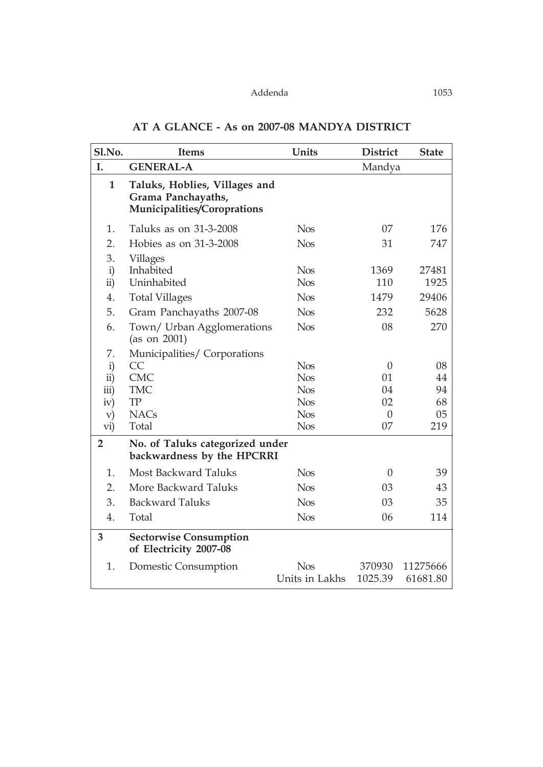| Sl.No.             | <b>Items</b>                                                                       | Units          | <b>District</b> | <b>State</b> |
|--------------------|------------------------------------------------------------------------------------|----------------|-----------------|--------------|
| I.                 | <b>GENERAL-A</b>                                                                   |                | Mandya          |              |
| $\mathbf{1}$       | Taluks, Hoblies, Villages and<br>Grama Panchayaths,<br>Municipalities/Coroprations |                |                 |              |
| 1.                 | Taluks as on 31-3-2008                                                             | <b>Nos</b>     | 07              | 176          |
| 2.                 | Hobies as on 31-3-2008                                                             | <b>Nos</b>     | 31              | 747          |
| 3.                 | <b>Villages</b>                                                                    |                |                 |              |
| $\mathbf{i}$       | Inhabited                                                                          | <b>Nos</b>     | 1369            | 27481        |
| $\mathbf{ii}$      | Uninhabited                                                                        | <b>Nos</b>     | 110             | 1925         |
| 4.                 | <b>Total Villages</b>                                                              | <b>Nos</b>     | 1479            | 29406        |
| 5.                 | Gram Panchayaths 2007-08                                                           | <b>Nos</b>     | 232             | 5628         |
| 6.                 | Town/ Urban Agglomerations<br>(as on 2001)                                         | <b>Nos</b>     | 08              | 270          |
| 7.                 | Municipalities/Corporations                                                        |                |                 |              |
| $\mathbf{i}$       | CC                                                                                 | <b>Nos</b>     | $\theta$        | 08           |
| ii)                | <b>CMC</b>                                                                         | <b>Nos</b>     | 01              | 44           |
| $\overline{iii}$ ) | <b>TMC</b>                                                                         | <b>Nos</b>     | 04              | 94           |
| iv)                | ${\rm TP}$                                                                         | <b>Nos</b>     | 02              | 68           |
| $\mathbf{v})$      | <b>NACs</b>                                                                        | <b>Nos</b>     | $\overline{0}$  | 05           |
| vi)                | Total                                                                              | <b>Nos</b>     | 07              | 219          |
| $\overline{2}$     | No. of Taluks categorized under<br>backwardness by the HPCRRI                      |                |                 |              |
| 1.                 | <b>Most Backward Taluks</b>                                                        | <b>Nos</b>     | $\theta$        | 39           |
| 2.                 | More Backward Taluks                                                               | <b>Nos</b>     | 03              | 43           |
| 3.                 | <b>Backward Taluks</b>                                                             | <b>Nos</b>     | 03              | 35           |
| 4.                 | Total                                                                              | <b>Nos</b>     | 06              | 114          |
| 3                  | <b>Sectorwise Consumption</b><br>of Electricity 2007-08                            |                |                 |              |
| 1.                 | Domestic Consumption                                                               | <b>Nos</b>     | 370930          | 11275666     |
|                    |                                                                                    | Units in Lakhs | 1025.39         | 61681.80     |

#### **AT A GLANCE - As on 2007-08 MANDYA DISTRICT**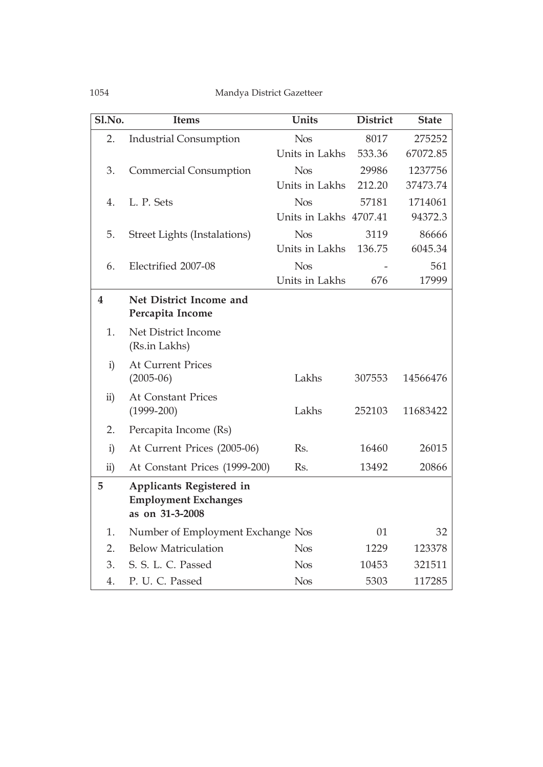| Sl.No.                  | <b>Items</b>                      | <b>Units</b>           | <b>District</b> | <b>State</b> |
|-------------------------|-----------------------------------|------------------------|-----------------|--------------|
| 2.                      | <b>Industrial Consumption</b>     | <b>Nos</b>             | 8017            | 275252       |
|                         |                                   | Units in Lakhs         | 533.36          | 67072.85     |
| 3.                      | <b>Commercial Consumption</b>     | <b>Nos</b>             | 29986           | 1237756      |
|                         |                                   | Units in Lakhs         | 212.20          | 37473.74     |
| 4.                      | L. P. Sets                        | <b>Nos</b>             | 57181           | 1714061      |
|                         |                                   | Units in Lakhs 4707.41 |                 | 94372.3      |
| 5.                      | Street Lights (Instalations)      | <b>Nos</b>             | 3119            | 86666        |
|                         |                                   | Units in Lakhs         | 136.75          | 6045.34      |
| 6.                      | Electrified 2007-08               | <b>Nos</b>             |                 | 561          |
|                         |                                   | Units in Lakhs         | 676             | 17999        |
| $\overline{\mathbf{4}}$ | Net District Income and           |                        |                 |              |
|                         | Percapita Income                  |                        |                 |              |
| 1.                      | Net District Income               |                        |                 |              |
|                         | (Rs.in Lakhs)                     |                        |                 |              |
| $\mathbf{i}$            | <b>At Current Prices</b>          |                        |                 |              |
|                         | $(2005-06)$                       | Lakhs                  | 307553          | 14566476     |
| $\ddot{\text{ii}})$     | <b>At Constant Prices</b>         |                        |                 |              |
|                         | $(1999 - 200)$                    | Lakhs                  | 252103          | 11683422     |
| 2.                      | Percapita Income (Rs)             |                        |                 |              |
| $\mathbf{i}$            | At Current Prices (2005-06)       | Rs.                    | 16460           | 26015        |
| $\overline{ii}$ )       | At Constant Prices (1999-200)     | Rs.                    | 13492           | 20866        |
| 5                       | <b>Applicants Registered in</b>   |                        |                 |              |
|                         | <b>Employment Exchanges</b>       |                        |                 |              |
|                         | as on 31-3-2008                   |                        |                 |              |
| 1.                      | Number of Employment Exchange Nos |                        | 01              | 32           |
| 2.                      | <b>Below Matriculation</b>        | <b>Nos</b>             | 1229            | 123378       |
| 3.                      | S. S. L. C. Passed                | <b>Nos</b>             | 10453           | 321511       |
| 4.                      | P. U. C. Passed                   | <b>Nos</b>             | 5303            | 117285       |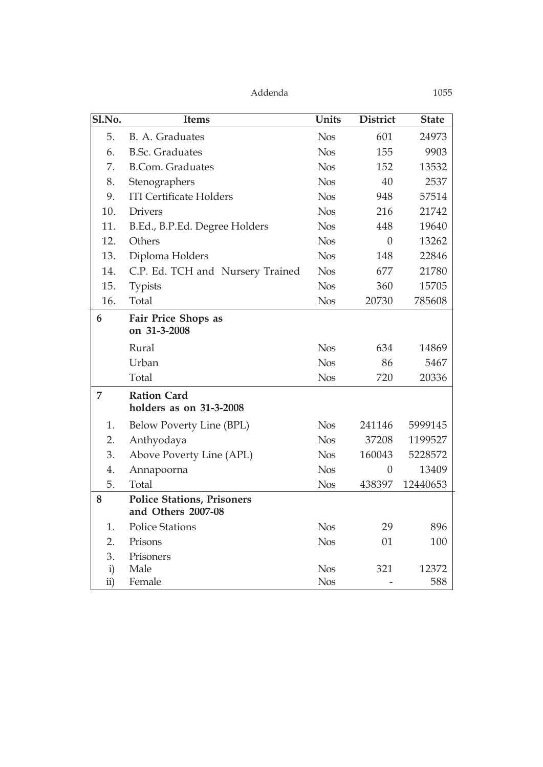| Sl.No.       | <b>Items</b>                                            | <b>Units</b> | <b>District</b> | <b>State</b> |
|--------------|---------------------------------------------------------|--------------|-----------------|--------------|
| 5.           | B. A. Graduates                                         | <b>Nos</b>   | 601             | 24973        |
| 6.           | <b>B.Sc. Graduates</b>                                  | <b>Nos</b>   | 155             | 9903         |
| 7.           | <b>B.Com.</b> Graduates                                 | <b>Nos</b>   | 152             | 13532        |
| 8.           | Stenographers                                           | <b>Nos</b>   | 40              | 2537         |
| 9.           | <b>ITI Certificate Holders</b>                          | <b>Nos</b>   | 948             | 57514        |
| 10.          | <b>Drivers</b>                                          | <b>Nos</b>   | 216             | 21742        |
| 11.          | B.Ed., B.P.Ed. Degree Holders                           | <b>Nos</b>   | 448             | 19640        |
| 12.          | Others                                                  | <b>Nos</b>   | $\theta$        | 13262        |
| 13.          | Diploma Holders                                         | <b>Nos</b>   | 148             | 22846        |
| 14.          | C.P. Ed. TCH and Nursery Trained                        | <b>Nos</b>   | 677             | 21780        |
| 15.          | <b>Typists</b>                                          | <b>Nos</b>   | 360             | 15705        |
| 16.          | Total                                                   | <b>Nos</b>   | 20730           | 785608       |
| 6            | <b>Fair Price Shops as</b><br>on 31-3-2008              |              |                 |              |
|              | Rural                                                   | <b>Nos</b>   | 634             | 14869        |
|              | Urban                                                   | <b>Nos</b>   | 86              | 5467         |
|              | Total                                                   | <b>Nos</b>   | 720             | 20336        |
| 7            | <b>Ration Card</b><br>holders as on 31-3-2008           |              |                 |              |
| 1.           | Below Poverty Line (BPL)                                | <b>Nos</b>   | 241146          | 5999145      |
| 2.           | Anthyodaya                                              | <b>Nos</b>   | 37208           | 1199527      |
| 3.           | Above Poverty Line (APL)                                | <b>Nos</b>   | 160043          | 5228572      |
| 4.           | Annapoorna                                              | <b>Nos</b>   | $\theta$        | 13409        |
| 5.           | Total                                                   | <b>Nos</b>   | 438397          | 12440653     |
| 8            | <b>Police Stations, Prisoners</b><br>and Others 2007-08 |              |                 |              |
| 1.           | <b>Police Stations</b>                                  | <b>Nos</b>   | 29              | 896          |
| 2.           | Prisons                                                 | <b>Nos</b>   | 01              | 100          |
| 3.           | Prisoners                                               |              |                 |              |
| $\mathbf{i}$ | Male                                                    | <b>Nos</b>   | 321             | 12372        |
| ii)          | Female                                                  | <b>Nos</b>   |                 | 588          |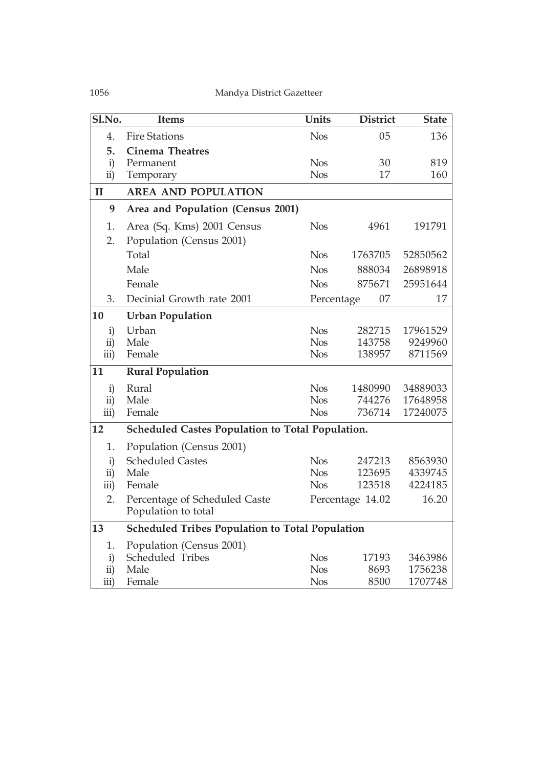| Sl.No.              | <b>Items</b>                                           | Units      | <b>District</b>  | <b>State</b> |
|---------------------|--------------------------------------------------------|------------|------------------|--------------|
| 4.                  | <b>Fire Stations</b>                                   | <b>Nos</b> | 05               | 136          |
| 5.                  | <b>Cinema Theatres</b>                                 |            |                  |              |
| $\mathbf{i}$        | Permanent                                              | <b>Nos</b> | 30               | 819          |
| $\overline{ii}$ )   | Temporary                                              | <b>Nos</b> | 17               | 160          |
| $\mathbf{I}$        | <b>AREA AND POPULATION</b>                             |            |                  |              |
| 9                   | Area and Population (Census 2001)                      |            |                  |              |
| 1.                  | Area (Sq. Kms) 2001 Census                             | <b>Nos</b> | 4961             | 191791       |
| 2.                  | Population (Census 2001)                               |            |                  |              |
|                     | Total                                                  | <b>Nos</b> | 1763705          | 52850562     |
|                     | Male                                                   | <b>Nos</b> | 888034           | 26898918     |
|                     | Female                                                 | <b>Nos</b> | 875671           | 25951644     |
| 3.                  | Decinial Growth rate 2001                              | Percentage | 07               | 17           |
| 10                  | <b>Urban Population</b>                                |            |                  |              |
| $\mathbf{i}$        | Urban                                                  | <b>Nos</b> | 282715           | 17961529     |
| $\overline{ii}$ )   | Male                                                   | <b>Nos</b> | 143758           | 9249960      |
| iii)                | Female                                                 | <b>Nos</b> | 138957           | 8711569      |
| 11                  | <b>Rural Population</b>                                |            |                  |              |
| $\mathbf{i}$        | Rural                                                  | <b>Nos</b> | 1480990          | 34889033     |
| ii)                 | Male                                                   | <b>Nos</b> | 744276           | 17648958     |
| iii)                | Female                                                 | <b>Nos</b> | 736714           | 17240075     |
| 12                  | Scheduled Castes Population to Total Population.       |            |                  |              |
| 1.                  | Population (Census 2001)                               |            |                  |              |
| $\mathbf{i}$        | <b>Scheduled Castes</b>                                | <b>Nos</b> | 247213           | 8563930      |
| $\ddot{\mathbf{i}}$ | Male                                                   | <b>Nos</b> | 123695           | 4339745      |
| iii)                | Female                                                 | <b>Nos</b> | 123518           | 4224185      |
| 2.                  | Percentage of Scheduled Caste                          |            | Percentage 14.02 | 16.20        |
|                     | Population to total                                    |            |                  |              |
| 13                  | <b>Scheduled Tribes Population to Total Population</b> |            |                  |              |
| 1.                  | Population (Census 2001)                               |            |                  |              |
| $\mathbf{i}$        | Scheduled Tribes                                       | <b>Nos</b> | 17193            | 3463986      |
| ii)                 | Male                                                   | <b>Nos</b> | 8693             | 1756238      |
| iii)                | Female                                                 | <b>Nos</b> | 8500             | 1707748      |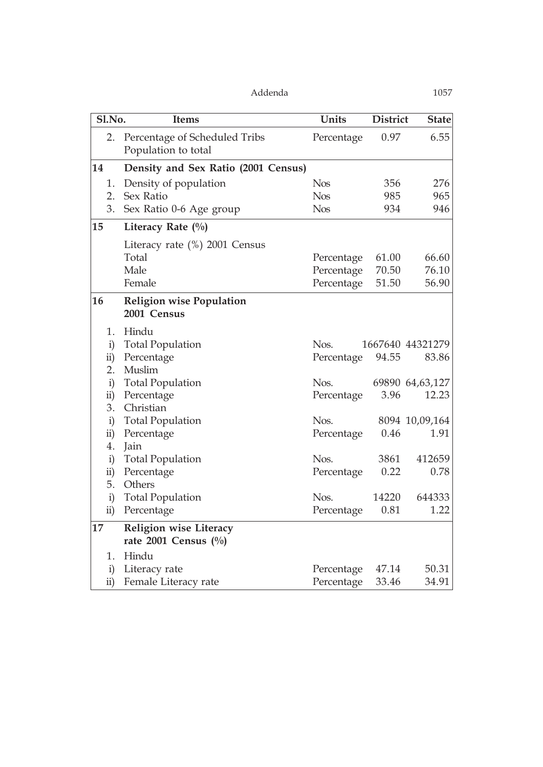| Sl.No.                    | <b>Items</b>                                         | Units      | <b>District</b> | <b>State</b>     |
|---------------------------|------------------------------------------------------|------------|-----------------|------------------|
| 2.                        | Percentage of Scheduled Tribs<br>Population to total | Percentage | 0.97            | 6.55             |
| 14                        | Density and Sex Ratio (2001 Census)                  |            |                 |                  |
| 1.                        | Density of population                                | <b>Nos</b> | 356             | 276              |
| 2.                        | Sex Ratio                                            | <b>Nos</b> | 985             | 965              |
| 3.                        | Sex Ratio 0-6 Age group                              | <b>Nos</b> | 934             | 946              |
| 15                        | Literacy Rate $(\%)$                                 |            |                 |                  |
|                           | Literacy rate $(\%)$ 2001 Census                     |            |                 |                  |
|                           | Total                                                | Percentage | 61.00           | 66.60            |
|                           | Male                                                 | Percentage | 70.50           | 76.10            |
|                           | Female                                               | Percentage | 51.50           | 56.90            |
| 16                        | <b>Religion wise Population</b>                      |            |                 |                  |
|                           | 2001 Census                                          |            |                 |                  |
| 1.                        | Hindu                                                |            |                 |                  |
| $\mathbf{i}$              | <b>Total Population</b>                              | Nos.       |                 | 1667640 44321279 |
| $\ddot{\text{ii}})$       | Percentage                                           | Percentage | 94.55           | 83.86            |
| 2.                        | Muslim                                               |            |                 |                  |
| $\mathbf{i}$              | <b>Total Population</b>                              | Nos.       |                 | 69890 64,63,127  |
| $\ddot{\text{ii}})$<br>3. | Percentage<br>Christian                              | Percentage | 3.96            | 12.23            |
| $\mathbf{i}$              | <b>Total Population</b>                              | Nos.       |                 | 8094 10,09,164   |
| $\overline{ii}$           | Percentage                                           | Percentage | 0.46            | 1.91             |
| 4.                        | Jain                                                 |            |                 |                  |
| $\mathbf{i}$              | <b>Total Population</b>                              | Nos.       | 3861            | 412659           |
| $\overline{ii}$           | Percentage                                           | Percentage | 0.22            | 0.78             |
| 5.                        | Others                                               |            |                 |                  |
| i)                        | <b>Total Population</b>                              | Nos.       | 14220           | 644333           |
| ii)                       | Percentage                                           | Percentage | 0.81            | 1.22             |
| 17                        | Religion wise Literacy                               |            |                 |                  |
|                           | rate 2001 Census $(\%)$                              |            |                 |                  |
| 1.                        | Hindu                                                |            |                 |                  |
| $\mathbf{i}$              | Literacy rate                                        | Percentage | 47.14           | 50.31            |
| $\overline{ii}$           | Female Literacy rate                                 | Percentage | 33.46           | 34.91            |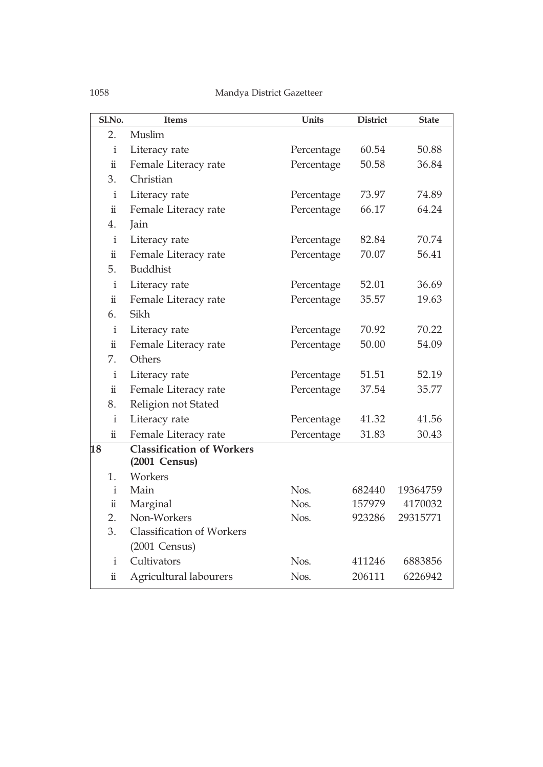| Sl.No.              | <b>Items</b>                                                | Units      | <b>District</b> | <b>State</b> |
|---------------------|-------------------------------------------------------------|------------|-----------------|--------------|
| 2.                  | Muslim                                                      |            |                 |              |
| $\mathbf{i}$        | Literacy rate                                               | Percentage | 60.54           | 50.88        |
| $\ddot{\rm n}$      | Female Literacy rate                                        | Percentage | 50.58           | 36.84        |
| 3.                  | Christian                                                   |            |                 |              |
| $\mathbf{i}$        | Literacy rate                                               | Percentage | 73.97           | 74.89        |
| $\ddot{\rm n}$      | Female Literacy rate                                        | Percentage | 66.17           | 64.24        |
| 4.                  | Jain                                                        |            |                 |              |
| $\mathbf{i}$        | Literacy rate                                               | Percentage | 82.84           | 70.74        |
| $\ddot{\rm n}$      | Female Literacy rate                                        | Percentage | 70.07           | 56.41        |
| 5.                  | <b>Buddhist</b>                                             |            |                 |              |
| $\mathbf{i}$        | Literacy rate                                               | Percentage | 52.01           | 36.69        |
| $\ddot{\rm n}$      | Female Literacy rate                                        | Percentage | 35.57           | 19.63        |
| 6.                  | Sikh                                                        |            |                 |              |
| $\mathbf{i}$        | Literacy rate                                               | Percentage | 70.92           | 70.22        |
| $\ddot{\mathbf{u}}$ | Female Literacy rate                                        | Percentage | 50.00           | 54.09        |
| 7.                  | Others                                                      |            |                 |              |
| $\mathbf{i}$        | Literacy rate                                               | Percentage | 51.51           | 52.19        |
| $\ddot{\rm n}$      | Female Literacy rate                                        | Percentage | 37.54           | 35.77        |
| 8.                  | Religion not Stated                                         |            |                 |              |
| $\mathbf{i}$        | Literacy rate                                               | Percentage | 41.32           | 41.56        |
| $\ddot{\mathbf{u}}$ | Female Literacy rate                                        | Percentage | 31.83           | 30.43        |
| 18                  | <b>Classification of Workers</b><br>$(2001 \text{ Census})$ |            |                 |              |
| 1.                  | Workers                                                     |            |                 |              |
| $\mathbf{i}$        | Main                                                        | Nos.       | 682440          | 19364759     |
| $\ddot{\mathbf{u}}$ | Marginal                                                    | Nos.       | 157979          | 4170032      |
| 2.                  | Non-Workers                                                 | Nos.       | 923286          | 29315771     |
| 3.                  | <b>Classification of Workers</b>                            |            |                 |              |
|                     | $(2001 \text{ Census})$                                     |            |                 |              |
| $\mathbf{i}$        | Cultivators                                                 | Nos.       | 411246          | 6883856      |
| $\ddot{\rm n}$      | Agricultural labourers                                      | Nos.       | 206111          | 6226942      |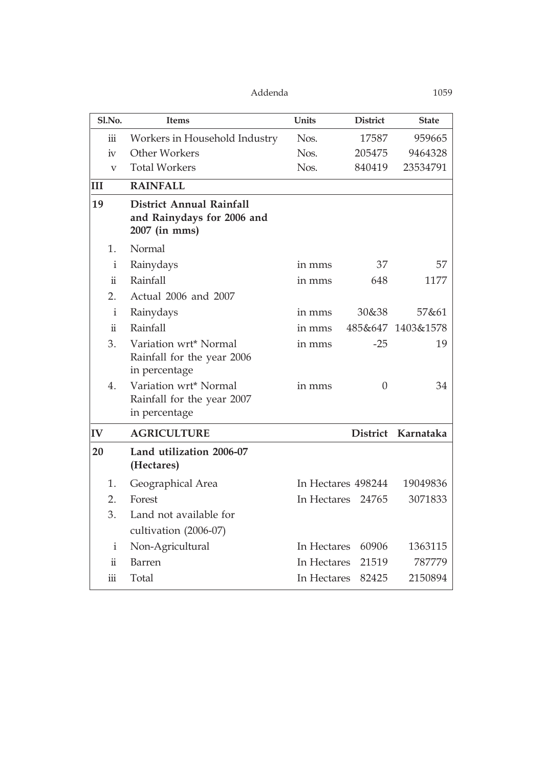| Sl.No.               | <b>Items</b>                                                                   | Units       | <b>District</b>    | <b>State</b>       |
|----------------------|--------------------------------------------------------------------------------|-------------|--------------------|--------------------|
| $\dddot{\mathbf{m}}$ | Workers in Household Industry                                                  | Nos.        | 17587              | 959665             |
| iv                   | Other Workers                                                                  | Nos.        | 205475             | 9464328            |
| $\rm V$              | <b>Total Workers</b>                                                           | Nos.        | 840419             | 23534791           |
| Ш                    | <b>RAINFALL</b>                                                                |             |                    |                    |
| 19                   | <b>District Annual Rainfall</b><br>and Rainydays for 2006 and<br>2007 (in mms) |             |                    |                    |
| 1.                   | Normal                                                                         |             |                    |                    |
| $\mathbf{i}$         | Rainydays                                                                      | in mms      | 37                 | 57                 |
| $\ddot{\mathbf{u}}$  | Rainfall                                                                       | in mms      | 648                | 1177               |
| 2.                   | Actual 2006 and 2007                                                           |             |                    |                    |
| $\mathbf{i}$         | Rainydays                                                                      | in mms      | 30&38              | 57&61              |
| $\ddot{\mathbf{u}}$  | Rainfall                                                                       | in mms      |                    | 485&647 1403&1578  |
| 3.                   | Variation wrt* Normal<br>Rainfall for the year 2006<br>in percentage           | in mms      | $-25$              | 19                 |
| 4.                   | Variation wrt* Normal<br>Rainfall for the year 2007<br>in percentage           | in mms      | $\Omega$           | 34                 |
| $ {\bf IV} $         | <b>AGRICULTURE</b>                                                             |             |                    | District Karnataka |
| 20                   | Land utilization 2006-07<br>(Hectares)                                         |             |                    |                    |
| 1.                   | Geographical Area                                                              |             | In Hectares 498244 | 19049836           |
| 2.                   | Forest                                                                         |             | In Hectares 24765  | 3071833            |
| 3.                   | Land not available for<br>cultivation (2006-07)                                |             |                    |                    |
| $\mathbf{i}$         | Non-Agricultural                                                               | In Hectares | 60906              | 1363115            |
| $\ddot{\rm n}$       | Barren                                                                         | In Hectares | 21519              | 787779             |
| iii                  | Total                                                                          | In Hectares | 82425              | 2150894            |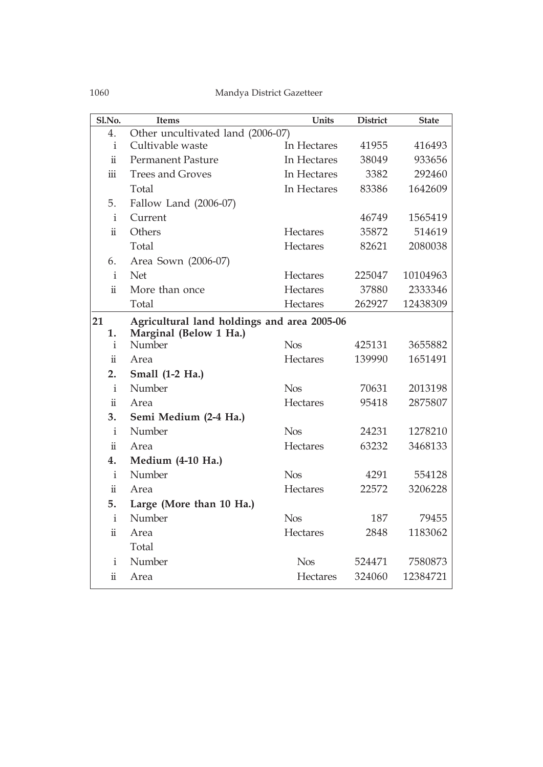| Sl.No.                  | <b>Items</b>                                | Units       | <b>District</b> | <b>State</b> |
|-------------------------|---------------------------------------------|-------------|-----------------|--------------|
| 4.                      | Other uncultivated land (2006-07)           |             |                 |              |
| $\mathbf{i}$            | Cultivable waste                            | In Hectares | 41955           | 416493       |
| $\ddot{\rm n}$          | <b>Permanent Pasture</b>                    | In Hectares | 38049           | 933656       |
| $\overline{\text{iii}}$ | <b>Trees and Groves</b>                     | In Hectares | 3382            | 292460       |
|                         | Total                                       | In Hectares | 83386           | 1642609      |
| 5.                      | Fallow Land (2006-07)                       |             |                 |              |
| $\mathbf{i}$            | Current                                     |             | 46749           | 1565419      |
| $\ddot{\mathbf{i}}$     | Others                                      | Hectares    | 35872           | 514619       |
|                         | Total                                       | Hectares    | 82621           | 2080038      |
| 6.                      | Area Sown (2006-07)                         |             |                 |              |
| $\mathbf{i}$            | <b>Net</b>                                  | Hectares    | 225047          | 10104963     |
| $\ddot{\mathbf{u}}$     | More than once                              | Hectares    | 37880           | 2333346      |
|                         | Total                                       | Hectares    | 262927          | 12438309     |
| 21                      | Agricultural land holdings and area 2005-06 |             |                 |              |
| 1.                      | Marginal (Below 1 Ha.)                      |             |                 |              |
| i                       | Number                                      | <b>Nos</b>  | 425131          | 3655882      |
| $\ddot{\mathbf{u}}$     | Area                                        | Hectares    | 139990          | 1651491      |
| 2.                      | Small (1-2 Ha.)                             |             |                 |              |
| $\mathbf{i}$            | Number                                      | <b>Nos</b>  | 70631           | 2013198      |
| $\ddot{\mathbf{u}}$     | Area                                        | Hectares    | 95418           | 2875807      |
| 3.                      | Semi Medium (2-4 Ha.)                       |             |                 |              |
| $\mathbf{i}$            | Number                                      | <b>Nos</b>  | 24231           | 1278210      |
| $\ddot{\mathbf{u}}$     | Area                                        | Hectares    | 63232           | 3468133      |
| 4.                      | Medium (4-10 Ha.)                           |             |                 |              |
| i                       | Number                                      | <b>Nos</b>  | 4291            | 554128       |
| $\ddot{\mathbf{u}}$     | Area                                        | Hectares    | 22572           | 3206228      |
| 5.                      | Large (More than 10 Ha.)                    |             |                 |              |
| $\mathbf{i}$            | Number                                      | <b>Nos</b>  | 187             | 79455        |
| $\ddot{\rm n}$          | Area                                        | Hectares    | 2848            | 1183062      |
|                         | Total                                       |             |                 |              |
| i                       | Number                                      | <b>Nos</b>  | 524471          | 7580873      |
| $\ddot{\rm n}$          | Area                                        | Hectares    | 324060          | 12384721     |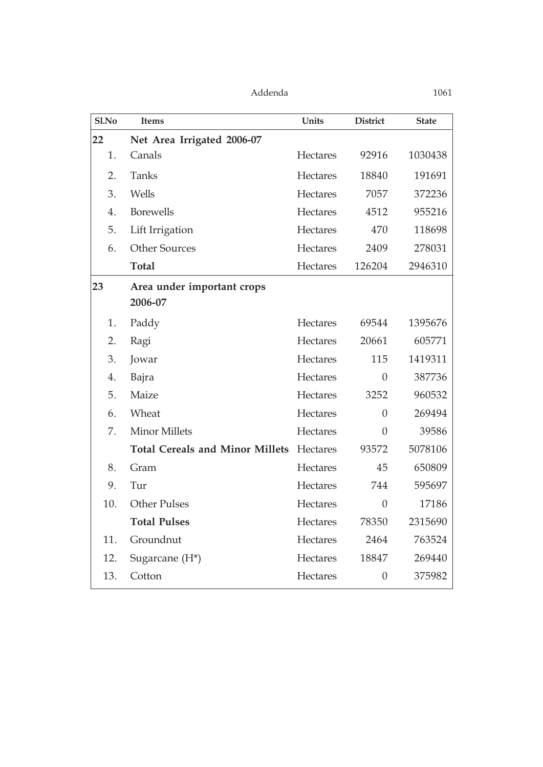| Sl.No | <b>Items</b>                           | Units           | <b>District</b> | <b>State</b> |
|-------|----------------------------------------|-----------------|-----------------|--------------|
| 22    | Net Area Irrigated 2006-07             |                 |                 |              |
| 1.    | Canals                                 | <b>Hectares</b> | 92916           | 1030438      |
| 2.    | Tanks                                  | Hectares        | 18840           | 191691       |
| 3.    | Wells                                  | Hectares        | 7057            | 372236       |
| 4.    | <b>Borewells</b>                       | <b>Hectares</b> | 4512            | 955216       |
| 5.    | Lift Irrigation                        | Hectares        | 470             | 118698       |
| 6.    | <b>Other Sources</b>                   | Hectares        | 2409            | 278031       |
|       | <b>Total</b>                           | Hectares        | 126204          | 2946310      |
| 23    | Area under important crops<br>2006-07  |                 |                 |              |
| 1.    | Paddy                                  | <b>Hectares</b> | 69544           | 1395676      |
| 2.    | Ragi                                   | <b>Hectares</b> | 20661           | 605771       |
| 3.    | Jowar                                  | Hectares        | 115             | 1419311      |
| 4.    | Bajra                                  | <b>Hectares</b> | $\overline{0}$  | 387736       |
| 5.    | Maize                                  | <b>Hectares</b> | 3252            | 960532       |
| 6.    | Wheat                                  | Hectares        | $\overline{0}$  | 269494       |
| 7.    | <b>Minor Millets</b>                   | Hectares        | $\theta$        | 39586        |
|       | <b>Total Cereals and Minor Millets</b> | Hectares        | 93572           | 5078106      |
| 8.    | Gram                                   | Hectares        | 45              | 650809       |
| 9.    | Tur                                    | <b>Hectares</b> | 744             | 595697       |
| 10.   | <b>Other Pulses</b>                    | Hectares        | $\theta$        | 17186        |
|       | <b>Total Pulses</b>                    | Hectares        | 78350           | 2315690      |
| 11.   | Groundnut                              | Hectares        | 2464            | 763524       |
| 12.   | Sugarcane (H*)                         | Hectares        | 18847           | 269440       |
| 13.   | Cotton                                 | Hectares        | $\theta$        | 375982       |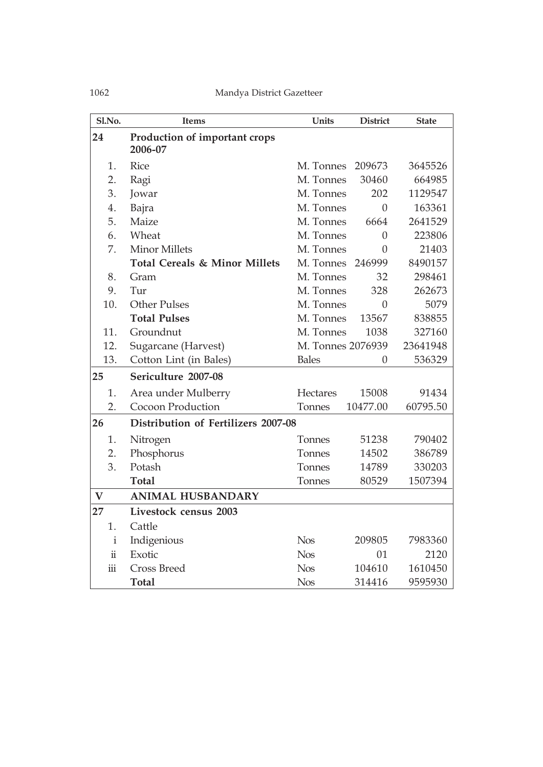| Sl.No.         | <b>Items</b>                             | Units             | <b>District</b>  | <b>State</b> |
|----------------|------------------------------------------|-------------------|------------------|--------------|
| 24             | Production of important crops<br>2006-07 |                   |                  |              |
| 1.             | <b>Rice</b>                              | M. Tonnes         | 209673           | 3645526      |
| 2.             | Ragi                                     | M. Tonnes         | 30460            | 664985       |
| 3.             | Jowar                                    | M. Tonnes         | 202              | 1129547      |
| 4.             | Bajra                                    | M. Tonnes         | $\boldsymbol{0}$ | 163361       |
| 5.             | Maize                                    | M. Tonnes         | 6664             | 2641529      |
| 6.             | Wheat                                    | M. Tonnes         | $\Omega$         | 223806       |
| 7.             | <b>Minor Millets</b>                     | M. Tonnes         | $\Omega$         | 21403        |
|                | Total Cereals & Minor Millets            | M. Tonnes         | 246999           | 8490157      |
| 8.             | Gram                                     | M. Tonnes         | 32               | 298461       |
| 9.             | Tur                                      | M. Tonnes         | 328              | 262673       |
| 10.            | <b>Other Pulses</b>                      | M. Tonnes         | $\theta$         | 5079         |
|                | <b>Total Pulses</b>                      | M. Tonnes         | 13567            | 838855       |
| 11.            | Groundnut                                | M. Tonnes         | 1038             | 327160       |
| 12.            | Sugarcane (Harvest)                      | M. Tonnes 2076939 |                  | 23641948     |
| 13.            | Cotton Lint (in Bales)                   | <b>Bales</b>      | $\theta$         | 536329       |
| 25             | Sericulture 2007-08                      |                   |                  |              |
| 1.             | Area under Mulberry                      | <b>Hectares</b>   | 15008            | 91434        |
| 2.             | Cocoon Production                        | Tonnes            | 10477.00         | 60795.50     |
| 26             | Distribution of Fertilizers 2007-08      |                   |                  |              |
| 1.             | Nitrogen                                 | Tonnes            | 51238            | 790402       |
| 2.             | Phosphorus                               | Tonnes            | 14502            | 386789       |
| 3.             | Potash                                   | Tonnes            | 14789            | 330203       |
|                | <b>Total</b>                             | Tonnes            | 80529            | 1507394      |
| $\mathbf V$    | <b>ANIMAL HUSBANDARY</b>                 |                   |                  |              |
| 27             | Livestock census 2003                    |                   |                  |              |
| 1.             | Cattle                                   |                   |                  |              |
| $\mathbf i$    | Indigenious                              | <b>Nos</b>        | 209805           | 7983360      |
| $\ddot{\rm n}$ | Exotic                                   | <b>Nos</b>        | 01               | 2120         |
| $\rm iii$      | <b>Cross Breed</b>                       | <b>Nos</b>        | 104610           | 1610450      |
|                | <b>Total</b>                             | <b>Nos</b>        | 314416           | 9595930      |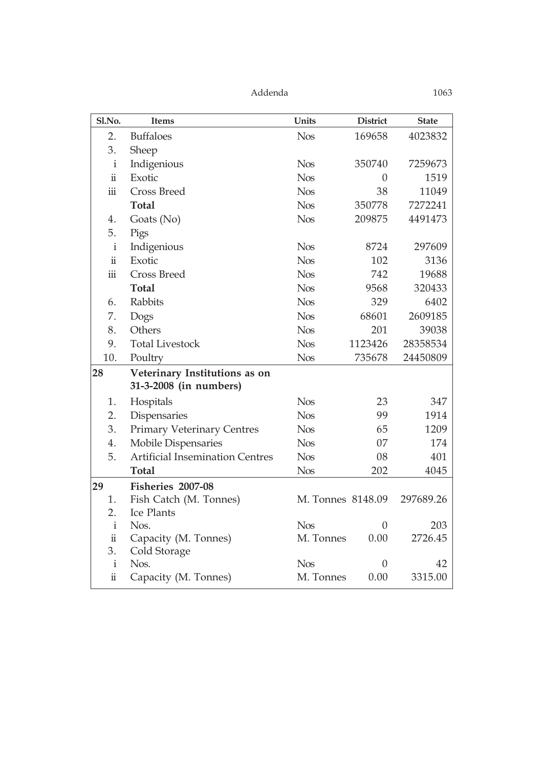| Sl.No.                  | <b>Items</b>                           | Units             | <b>District</b>  | <b>State</b> |
|-------------------------|----------------------------------------|-------------------|------------------|--------------|
| 2.                      | <b>Buffaloes</b>                       | <b>Nos</b>        | 169658           | 4023832      |
| 3.                      | Sheep                                  |                   |                  |              |
| $\mathbf{i}$            | Indigenious                            | <b>Nos</b>        | 350740           | 7259673      |
| $\ddot{\rm{1}}$         | Exotic                                 | <b>Nos</b>        | $\boldsymbol{0}$ | 1519         |
| $\dddot{\mathbf{m}}$    | <b>Cross Breed</b>                     | <b>Nos</b>        | 38               | 11049        |
|                         | <b>Total</b>                           | <b>Nos</b>        | 350778           | 7272241      |
| 4.                      | Goats (No)                             | <b>Nos</b>        | 209875           | 4491473      |
| 5.                      | Pigs                                   |                   |                  |              |
| $\mathbf{i}$            | Indigenious                            | <b>Nos</b>        | 8724             | 297609       |
| $\ddot{\rm n}$          | Exotic                                 | <b>Nos</b>        | 102              | 3136         |
| $\overline{\text{iii}}$ | <b>Cross Breed</b>                     | <b>Nos</b>        | 742              | 19688        |
|                         | <b>Total</b>                           | <b>Nos</b>        | 9568             | 320433       |
| 6.                      | Rabbits                                | <b>Nos</b>        | 329              | 6402         |
| 7.                      | Dogs                                   | <b>Nos</b>        | 68601            | 2609185      |
| 8.                      | Others                                 | <b>Nos</b>        | 201              | 39038        |
| 9.                      | <b>Total Livestock</b>                 | <b>Nos</b>        | 1123426          | 28358534     |
| 10.                     | Poultry                                | <b>Nos</b>        | 735678           | 24450809     |
| 28                      | Veterinary Institutions as on          |                   |                  |              |
|                         | 31-3-2008 (in numbers)                 |                   |                  |              |
| 1.                      | Hospitals                              | <b>Nos</b>        | 23               | 347          |
| 2.                      | Dispensaries                           | <b>Nos</b>        | 99               | 1914         |
| 3.                      | <b>Primary Veterinary Centres</b>      | <b>Nos</b>        | 65               | 1209         |
| 4.                      | <b>Mobile Dispensaries</b>             | <b>Nos</b>        | 07               | 174          |
| 5.                      | <b>Artificial Insemination Centres</b> | <b>Nos</b>        | 08               | 401          |
|                         | <b>Total</b>                           | <b>Nos</b>        | 202              | 4045         |
| 29                      | Fisheries 2007-08                      |                   |                  |              |
| 1.                      | Fish Catch (M. Tonnes)                 | M. Tonnes 8148.09 |                  | 297689.26    |
| 2.                      | Ice Plants                             |                   |                  |              |
| $\mathbf{i}$            | Nos.                                   | <b>Nos</b>        | $\theta$         | 203          |
| $\ddot{\rm n}$<br>3.    | Capacity (M. Tonnes)                   | M. Tonnes         | 0.00             | 2726.45      |
| $\mathbf{i}$            | Cold Storage<br>Nos.                   | <b>Nos</b>        | $\theta$         | 42           |
| ii                      | Capacity (M. Tonnes)                   | M. Tonnes         | 0.00             | 3315.00      |
|                         |                                        |                   |                  |              |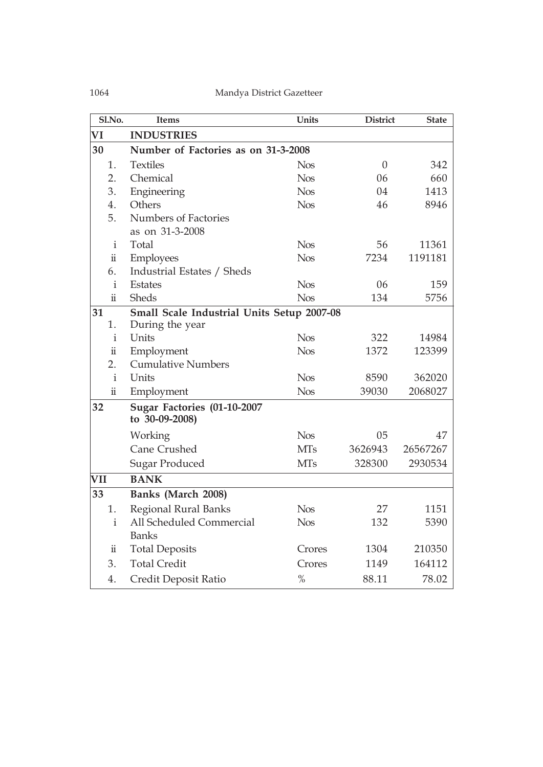| Sl.No.              | <b>Items</b>                                  | <b>Units</b> | <b>District</b> | <b>State</b> |
|---------------------|-----------------------------------------------|--------------|-----------------|--------------|
| VI                  | <b>INDUSTRIES</b>                             |              |                 |              |
| 30                  | Number of Factories as on 31-3-2008           |              |                 |              |
| 1.                  | <b>Textiles</b>                               | <b>Nos</b>   | $\theta$        | 342          |
| 2.                  | Chemical                                      | <b>Nos</b>   | 06              | 660          |
| 3.                  | Engineering                                   | <b>Nos</b>   | 04              | 1413         |
| 4.                  | Others                                        | <b>Nos</b>   | 46              | 8946         |
| 5.                  | <b>Numbers of Factories</b>                   |              |                 |              |
|                     | as on 31-3-2008                               |              |                 |              |
| i                   | Total                                         | <b>Nos</b>   | 56              | 11361        |
| $\ddot{\rm n}$      | <b>Employees</b>                              | <b>Nos</b>   | 7234            | 1191181      |
| 6.                  | Industrial Estates / Sheds                    |              |                 |              |
| $\mathbf{i}$        | <b>Estates</b>                                | <b>Nos</b>   | 06              | 159          |
| $\ddot{\mathbf{u}}$ | Sheds                                         | <b>Nos</b>   | 134             | 5756         |
| 31                  | Small Scale Industrial Units Setup 2007-08    |              |                 |              |
| 1.                  | During the year                               |              |                 |              |
| $\mathbf{i}$        | Units                                         | <b>Nos</b>   | 322             | 14984        |
| $\ddot{\rm n}$      | Employment                                    | <b>Nos</b>   | 1372            | 123399       |
| 2.                  | <b>Cumulative Numbers</b>                     |              |                 |              |
| $\mathbf{i}$        | Units                                         | <b>Nos</b>   | 8590            | 362020       |
| $\ddot{\rm n}$      | Employment                                    | <b>Nos</b>   | 39030           | 2068027      |
| 32                  | Sugar Factories (01-10-2007<br>to 30-09-2008) |              |                 |              |
|                     | Working                                       | <b>Nos</b>   | 05              | 47           |
|                     | <b>Cane Crushed</b>                           | <b>MTs</b>   | 3626943         | 26567267     |
|                     | <b>Sugar Produced</b>                         | <b>MTs</b>   | 328300          | 2930534      |
| VII                 | <b>BANK</b>                                   |              |                 |              |
| 33                  | Banks (March 2008)                            |              |                 |              |
| 1.                  | <b>Regional Rural Banks</b>                   | <b>Nos</b>   | 27              | 1151         |
| $\mathbf{i}$        | All Scheduled Commercial                      | <b>Nos</b>   | 132             | 5390         |
|                     | <b>Banks</b>                                  |              |                 |              |
| $\ddot{\rm n}$      | <b>Total Deposits</b>                         | Crores       | 1304            | 210350       |
| 3.                  | <b>Total Credit</b>                           | Crores       | 1149            | 164112       |
| 4.                  | Credit Deposit Ratio                          | $\%$         | 88.11           | 78.02        |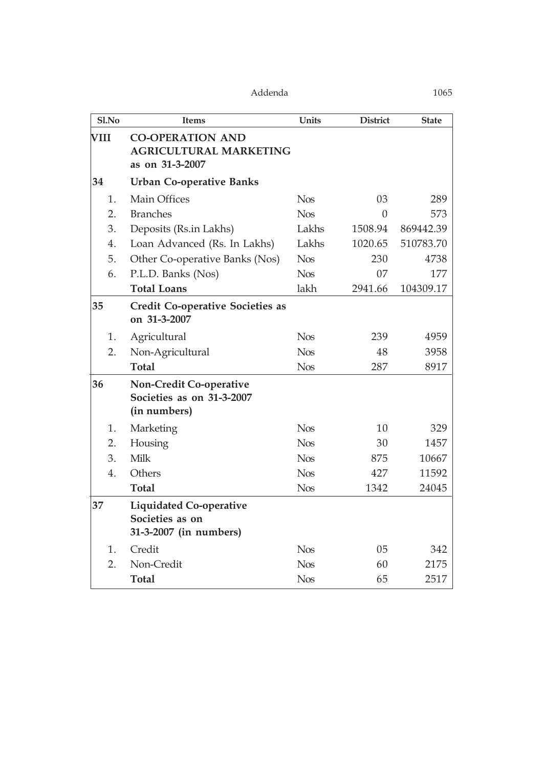| Sl.No            | <b>Items</b>                                                                | Units      | <b>District</b> | <b>State</b> |
|------------------|-----------------------------------------------------------------------------|------------|-----------------|--------------|
| VIII             | <b>CO-OPERATION AND</b><br><b>AGRICULTURAL MARKETING</b><br>as on 31-3-2007 |            |                 |              |
| 34               | <b>Urban Co-operative Banks</b>                                             |            |                 |              |
| 1.               | <b>Main Offices</b>                                                         | <b>Nos</b> | 03              | 289          |
| $\overline{2}$ . | <b>Branches</b>                                                             | <b>Nos</b> | $\theta$        | 573          |
| 3.               | Deposits (Rs.in Lakhs)                                                      | Lakhs      | 1508.94         | 869442.39    |
| 4.               | Loan Advanced (Rs. In Lakhs)                                                | Lakhs      | 1020.65         | 510783.70    |
| 5.               | Other Co-operative Banks (Nos)                                              | <b>Nos</b> | 230             | 4738         |
| 6.               | P.L.D. Banks (Nos)                                                          | <b>Nos</b> | 07              | 177          |
|                  | <b>Total Loans</b>                                                          | lakh       | 2941.66         | 104309.17    |
| 35               | <b>Credit Co-operative Societies as</b><br>on 31-3-2007                     |            |                 |              |
| 1.               | Agricultural                                                                | <b>Nos</b> | 239             | 4959         |
| 2.               | Non-Agricultural                                                            | <b>Nos</b> | 48              | 3958         |
|                  | <b>Total</b>                                                                | <b>Nos</b> | 287             | 8917         |
| 36               | Non-Credit Co-operative<br>Societies as on 31-3-2007<br>(in numbers)        |            |                 |              |
| 1.               | Marketing                                                                   | <b>Nos</b> | 10              | 329          |
| 2.               | Housing                                                                     | <b>Nos</b> | 30              | 1457         |
| 3.               | Milk                                                                        | <b>Nos</b> | 875             | 10667        |
| 4.               | Others                                                                      | <b>Nos</b> | 427             | 11592        |
|                  | <b>Total</b>                                                                | <b>Nos</b> | 1342            | 24045        |
| 37               | <b>Liquidated Co-operative</b><br>Societies as on<br>31-3-2007 (in numbers) |            |                 |              |
| 1.               | Credit                                                                      | <b>Nos</b> | 05              | 342          |
| 2.               | Non-Credit                                                                  | <b>Nos</b> | 60              | 2175         |
|                  | <b>Total</b>                                                                | <b>Nos</b> | 65              | 2517         |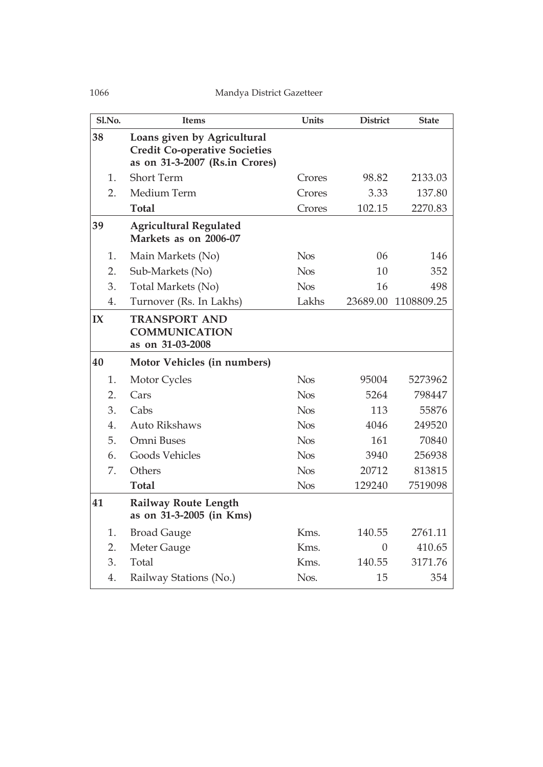| Sl.No. | <b>Items</b>                                                                                          | Units      | <b>District</b> | <b>State</b> |
|--------|-------------------------------------------------------------------------------------------------------|------------|-----------------|--------------|
| 38     | Loans given by Agricultural<br><b>Credit Co-operative Societies</b><br>as on 31-3-2007 (Rs.in Crores) |            |                 |              |
| 1.     | <b>Short Term</b>                                                                                     | Crores     | 98.82           | 2133.03      |
| 2.     | Medium Term                                                                                           | Crores     | 3.33            | 137.80       |
|        | <b>Total</b>                                                                                          | Crores     | 102.15          | 2270.83      |
| 39     | <b>Agricultural Regulated</b><br>Markets as on 2006-07                                                |            |                 |              |
| 1.     | Main Markets (No)                                                                                     | <b>Nos</b> | 06              | 146          |
| 2.     | Sub-Markets (No)                                                                                      | <b>Nos</b> | 10              | 352          |
| 3.     | Total Markets (No)                                                                                    | <b>Nos</b> | 16              | 498          |
| 4.     | Turnover (Rs. In Lakhs)                                                                               | Lakhs      | 23689.00        | 1108809.25   |
| IX     | <b>TRANSPORT AND</b><br><b>COMMUNICATION</b><br>as on 31-03-2008                                      |            |                 |              |
| 40     | Motor Vehicles (in numbers)                                                                           |            |                 |              |
| 1.     | Motor Cycles                                                                                          | <b>Nos</b> | 95004           | 5273962      |
| 2.     | Cars                                                                                                  | <b>Nos</b> | 5264            | 798447       |
| 3.     | Cabs                                                                                                  | <b>Nos</b> | 113             | 55876        |
| 4.     | <b>Auto Rikshaws</b>                                                                                  | <b>Nos</b> | 4046            | 249520       |
| 5.     | Omni Buses                                                                                            | <b>Nos</b> | 161             | 70840        |
| 6.     | Goods Vehicles                                                                                        | <b>Nos</b> | 3940            | 256938       |
| 7.     | Others                                                                                                | <b>Nos</b> | 20712           | 813815       |
|        | <b>Total</b>                                                                                          | <b>Nos</b> | 129240          | 7519098      |
| 41     | <b>Railway Route Length</b><br>as on 31-3-2005 (in Kms)                                               |            |                 |              |
| 1.     | <b>Broad Gauge</b>                                                                                    | Kms.       | 140.55          | 2761.11      |
| 2.     | Meter Gauge                                                                                           | Kms.       | $\overline{0}$  | 410.65       |
| 3.     | Total                                                                                                 | Kms.       | 140.55          | 3171.76      |
| 4.     | Railway Stations (No.)                                                                                | Nos.       | 15              | 354          |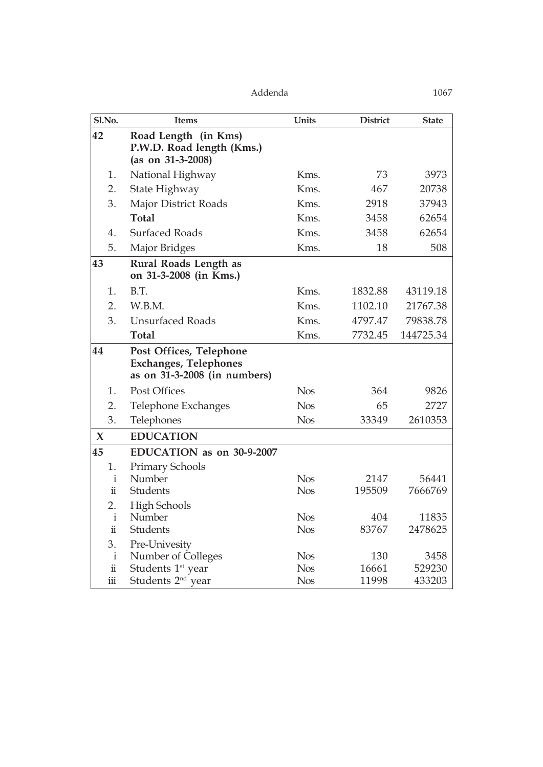| Sl.No.              | <b>Items</b>                                                                            | Units      | <b>District</b> | <b>State</b> |
|---------------------|-----------------------------------------------------------------------------------------|------------|-----------------|--------------|
| 42                  | Road Length (in Kms)<br>P.W.D. Road length (Kms.)<br>(as on $31-3-2008$ )               |            |                 |              |
| 1.                  | National Highway                                                                        | Kms.       | 73              | 3973         |
| 2.                  | State Highway                                                                           | Kms.       | 467             | 20738        |
| 3.                  | Major District Roads                                                                    | Kms.       | 2918            | 37943        |
|                     | <b>Total</b>                                                                            | Kms.       | 3458            | 62654        |
| 4.                  | <b>Surfaced Roads</b>                                                                   | Kms.       | 3458            | 62654        |
| 5.                  | Major Bridges                                                                           | Kms.       | 18              | 508          |
| 43                  | Rural Roads Length as<br>on 31-3-2008 (in Kms.)                                         |            |                 |              |
| 1.                  | B.T.                                                                                    | Kms.       | 1832.88         | 43119.18     |
| 2.                  | W.B.M.                                                                                  | Kms.       | 1102.10         | 21767.38     |
| 3.                  | <b>Unsurfaced Roads</b>                                                                 | Kms.       | 4797.47         | 79838.78     |
|                     | <b>Total</b>                                                                            | Kms.       | 7732.45         | 144725.34    |
| 44                  | Post Offices, Telephone<br><b>Exchanges, Telephones</b><br>as on 31-3-2008 (in numbers) |            |                 |              |
| 1.                  | <b>Post Offices</b>                                                                     | <b>Nos</b> | 364             | 9826         |
| 2.                  | Telephone Exchanges                                                                     | <b>Nos</b> | 65              | 2727         |
| 3.                  | Telephones                                                                              | <b>Nos</b> | 33349           | 2610353      |
| $\boldsymbol{\chi}$ | <b>EDUCATION</b>                                                                        |            |                 |              |
| 45                  | EDUCATION as on 30-9-2007                                                               |            |                 |              |
| 1.                  | Primary Schools                                                                         |            |                 |              |
| $\mathbf{i}$        | Number                                                                                  | <b>Nos</b> | 2147            | 56441        |
| $\ddot{\mathbf{u}}$ | Students                                                                                | <b>Nos</b> | 195509          | 7666769      |
| 2.                  | <b>High Schools</b>                                                                     |            |                 |              |
| $\mathbf{i}$        | Number                                                                                  | <b>Nos</b> | 404             | 11835        |
| $\ddot{\rm n}$      | Students                                                                                | <b>Nos</b> | 83767           | 2478625      |
| 3.                  | Pre-Univesity                                                                           |            |                 |              |
| $\mathbf{i}$        | Number of Colleges                                                                      | <b>Nos</b> | 130             | 3458         |
| $\ddot{\rm n}$      | Students 1 <sup>st</sup> year                                                           | <b>Nos</b> | 16661           | 529230       |
| $\rm iii$           | Students 2 <sup>nd</sup> year                                                           | <b>Nos</b> | 11998           | 433203       |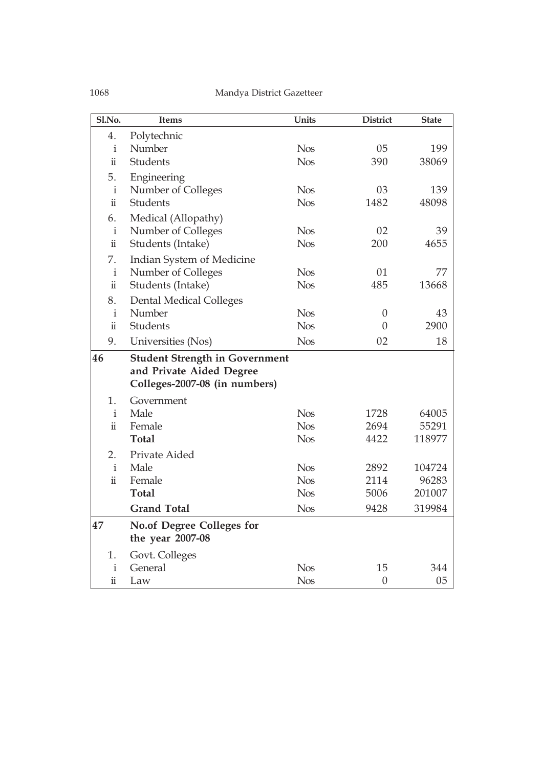| Sl.No.              | <b>Items</b>                          | Units      | <b>District</b>  | <b>State</b> |
|---------------------|---------------------------------------|------------|------------------|--------------|
| 4.                  | Polytechnic                           |            |                  |              |
| i                   | Number                                | <b>Nos</b> | 05               | 199          |
| $\ddot{\mathbf{u}}$ | <b>Students</b>                       | <b>Nos</b> | 390              | 38069        |
| 5.                  | Engineering                           |            |                  |              |
| $\mathbf{i}$        | Number of Colleges                    | <b>Nos</b> | 03               | 139          |
| $\ddot{\mathbf{u}}$ | <b>Students</b>                       | <b>Nos</b> | 1482             | 48098        |
| 6.                  | Medical (Allopathy)                   |            |                  |              |
| $\mathbf{i}$        | Number of Colleges                    | <b>Nos</b> | 02               | 39           |
| $\ddot{\mathbf{u}}$ | Students (Intake)                     | <b>Nos</b> | 200              | 4655         |
| 7.                  | Indian System of Medicine             |            |                  |              |
| $\mathbf{i}$        | Number of Colleges                    | <b>Nos</b> | 01               | 77           |
| $\ddot{\rm n}$      | Students (Intake)                     | <b>Nos</b> | 485              | 13668        |
| 8.                  | <b>Dental Medical Colleges</b>        |            |                  |              |
| $\mathbf{i}$        | Number                                | <b>Nos</b> | $\theta$         | 43           |
| $\ddot{\mathbf{u}}$ | Students                              | <b>Nos</b> | $\theta$         | 2900         |
| 9.                  | Universities (Nos)                    | <b>Nos</b> | 02               | 18           |
| 46                  | <b>Student Strength in Government</b> |            |                  |              |
|                     | and Private Aided Degree              |            |                  |              |
|                     | Colleges-2007-08 (in numbers)         |            |                  |              |
| 1.                  | Government                            |            |                  |              |
| $\mathbf{i}$        | Male                                  | <b>Nos</b> | 1728             | 64005        |
| $\ddot{\mathbf{u}}$ | Female                                | <b>Nos</b> | 2694             | 55291        |
|                     | <b>Total</b>                          | <b>Nos</b> | 4422             | 118977       |
| 2.                  | Private Aided                         |            |                  |              |
| $\mathbf{i}$        | Male                                  | <b>Nos</b> | 2892             | 104724       |
| $\ddot{\mathbf{u}}$ | Female                                | <b>Nos</b> | 2114             | 96283        |
|                     | <b>Total</b>                          | <b>Nos</b> | 5006             | 201007       |
|                     | <b>Grand Total</b>                    | <b>Nos</b> | 9428             | 319984       |
| 47                  | <b>No.of Degree Colleges for</b>      |            |                  |              |
|                     | the year 2007-08                      |            |                  |              |
| 1.                  | Govt. Colleges                        |            |                  |              |
| $\rm i$             | General                               | <b>Nos</b> | 15               | 344          |
| $\ddot{\rm n}$      | Law                                   | <b>Nos</b> | $\boldsymbol{0}$ | 05           |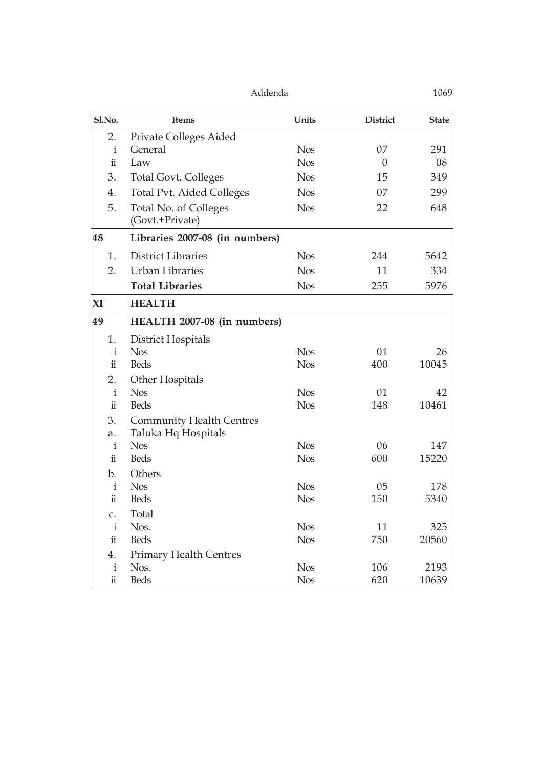| Sl.No.              | <b>Items</b>                             | <b>Units</b> | <b>District</b> | <b>State</b> |
|---------------------|------------------------------------------|--------------|-----------------|--------------|
| 2.                  | Private Colleges Aided                   |              |                 |              |
| $\mathbf{i}$        | General                                  | <b>Nos</b>   | 07              | 291          |
| $\ddot{\rm n}$      | Law                                      | <b>Nos</b>   | $\theta$        | 08           |
| 3.                  | <b>Total Govt. Colleges</b>              | <b>Nos</b>   | 15              | 349          |
| 4.                  | <b>Total Pvt. Aided Colleges</b>         | <b>Nos</b>   | 07              | 299          |
| 5.                  | Total No. of Colleges<br>(Govt.+Private) | <b>Nos</b>   | 22              | 648          |
| 48                  | Libraries 2007-08 (in numbers)           |              |                 |              |
| 1.                  | <b>District Libraries</b>                | <b>Nos</b>   | 244             | 5642         |
| 2.                  | <b>Urban Libraries</b>                   | <b>Nos</b>   | 11              | 334          |
|                     | <b>Total Libraries</b>                   | <b>Nos</b>   | 255             | 5976         |
| XI                  | <b>HEALTH</b>                            |              |                 |              |
| 49                  | HEALTH 2007-08 (in numbers)              |              |                 |              |
| 1.                  | District Hospitals                       |              |                 |              |
| $\mathbf{i}$        | <b>Nos</b>                               | <b>Nos</b>   | 01              | 26           |
| $\ddot{\rm n}$      | <b>Beds</b>                              | <b>Nos</b>   | 400             | 10045        |
| 2.                  | Other Hospitals                          |              |                 |              |
| $\mathbf{i}$        | <b>Nos</b>                               | <b>Nos</b>   | 01              | 42           |
| $\ddot{\rm n}$      | <b>Beds</b>                              | <b>Nos</b>   | 148             | 10461        |
| 3.                  | <b>Community Health Centres</b>          |              |                 |              |
| a.                  | Taluka Hq Hospitals                      |              |                 |              |
| $\mathbf{i}$        | <b>Nos</b>                               | <b>Nos</b>   | 06              | 147          |
| $\ddot{\rm n}$      | <b>Beds</b>                              | <b>Nos</b>   | 600             | 15220        |
| b.                  | Others                                   |              |                 |              |
| $\mathbf{i}$        | <b>Nos</b>                               | <b>Nos</b>   | 05              | 178          |
| $\ddot{\rm n}$      | <b>Beds</b>                              | <b>Nos</b>   | 150             | 5340         |
| C.                  | Total                                    |              |                 |              |
| $\mathbf{i}$        | Nos.                                     | <b>Nos</b>   | 11              | 325          |
| $\ddot{\rm n}$      | <b>Beds</b>                              | <b>Nos</b>   | 750             | 20560        |
| 4.                  | <b>Primary Health Centres</b>            |              |                 |              |
| $\mathbf{i}$        | Nos.                                     | <b>Nos</b>   | 106             | 2193         |
| $\ddot{\mathbf{u}}$ | <b>Beds</b>                              | <b>Nos</b>   | 620             | 10639        |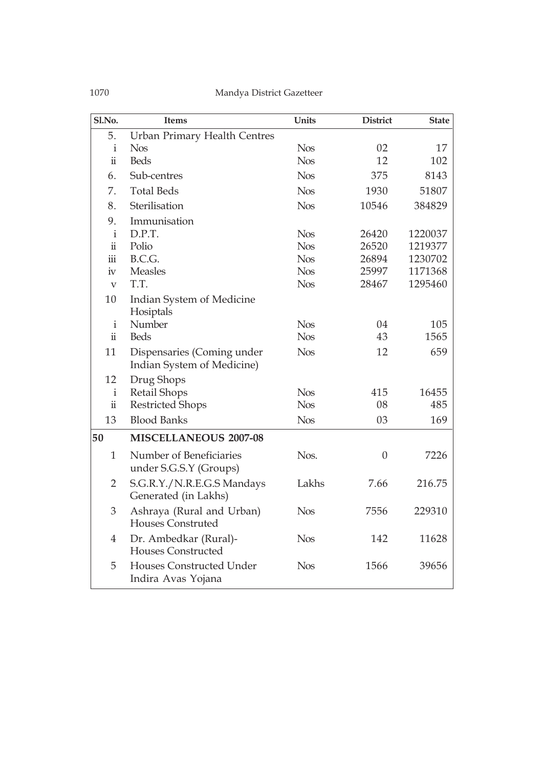| Sl.No.                    | <b>Items</b>                                             | Units      | <b>District</b> | <b>State</b> |
|---------------------------|----------------------------------------------------------|------------|-----------------|--------------|
| 5.                        | <b>Urban Primary Health Centres</b>                      |            |                 |              |
| i                         | <b>Nos</b>                                               | <b>Nos</b> | 02              | 17           |
| $\ddot{\rm n}$            | <b>Beds</b>                                              | <b>Nos</b> | 12              | 102          |
| 6.                        | Sub-centres                                              | <b>Nos</b> | 375             | 8143         |
| 7.                        | <b>Total Beds</b>                                        | <b>Nos</b> | 1930            | 51807        |
| 8.                        | Sterilisation                                            | <b>Nos</b> | 10546           | 384829       |
| 9.                        | Immunisation                                             |            |                 |              |
| $\mathbf{i}$              | D.P.T.                                                   | <b>Nos</b> | 26420           | 1220037      |
| $\ddot{\mathbf{u}}$       | Polio                                                    | <b>Nos</b> | 26520           | 1219377      |
| $\ddot{\text{iii}}$       | B.C.G.                                                   | <b>Nos</b> | 26894           | 1230702      |
| iv                        | <b>Measles</b>                                           | <b>Nos</b> | 25997           | 1171368      |
| $\boldsymbol{\mathrm{V}}$ | T.T.                                                     | <b>Nos</b> | 28467           | 1295460      |
| 10                        | Indian System of Medicine<br>Hosiptals                   |            |                 |              |
| $\mathbf{i}$              | Number                                                   | <b>Nos</b> | 04              | 105          |
| $\ddot{\mathbf{u}}$       | <b>Beds</b>                                              | <b>Nos</b> | 43              | 1565         |
| 11                        | Dispensaries (Coming under<br>Indian System of Medicine) | <b>Nos</b> | 12              | 659          |
| 12                        | Drug Shops                                               |            |                 |              |
| $\mathbf{i}$              | <b>Retail Shops</b>                                      | <b>Nos</b> | 415             | 16455        |
| $\ddot{\mathbf{u}}$       | <b>Restricted Shops</b>                                  | <b>Nos</b> | 08              | 485          |
| 13                        | <b>Blood Banks</b>                                       | <b>Nos</b> | 03              | 169          |
| 50                        | <b>MISCELLANEOUS 2007-08</b>                             |            |                 |              |
| $\mathbf{1}$              | Number of Beneficiaries<br>under S.G.S.Y (Groups)        | Nos.       | $\theta$        | 7226         |
| $\overline{2}$            | S.G.R.Y./N.R.E.G.S Mandays<br>Generated (in Lakhs)       | Lakhs      | 7.66            | 216.75       |
| 3                         | Ashraya (Rural and Urban)<br><b>Houses Construted</b>    | <b>Nos</b> | 7556            | 229310       |
| $\overline{4}$            | Dr. Ambedkar (Rural)-<br><b>Houses Constructed</b>       | <b>Nos</b> | 142             | 11628        |
| 5                         | Houses Constructed Under<br>Indira Avas Yojana           | <b>Nos</b> | 1566            | 39656        |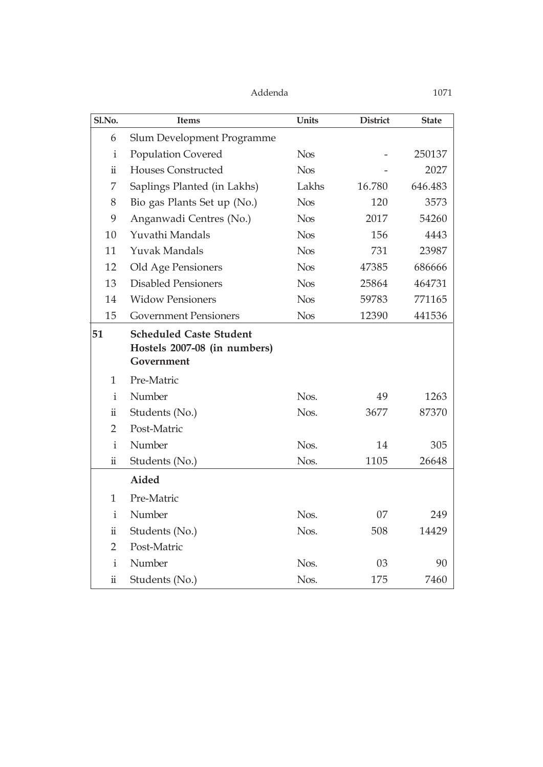| Sl.No.              | <b>Items</b>                                                                 | <b>Units</b> | <b>District</b> | <b>State</b> |
|---------------------|------------------------------------------------------------------------------|--------------|-----------------|--------------|
| 6                   | Slum Development Programme                                                   |              |                 |              |
| i                   | <b>Population Covered</b>                                                    | <b>Nos</b>   |                 | 250137       |
| ü                   | <b>Houses Constructed</b>                                                    | <b>Nos</b>   |                 | 2027         |
| 7                   | Saplings Planted (in Lakhs)                                                  | Lakhs        | 16.780          | 646.483      |
| 8                   | Bio gas Plants Set up (No.)                                                  | <b>Nos</b>   | 120             | 3573         |
| 9                   | Anganwadi Centres (No.)                                                      | <b>Nos</b>   | 2017            | 54260        |
| 10                  | Yuvathi Mandals                                                              | <b>Nos</b>   | 156             | 4443         |
| 11                  | <b>Yuvak Mandals</b>                                                         | <b>Nos</b>   | 731             | 23987        |
| 12                  | Old Age Pensioners                                                           | <b>Nos</b>   | 47385           | 686666       |
| 13                  | <b>Disabled Pensioners</b>                                                   | <b>Nos</b>   | 25864           | 464731       |
| 14                  | <b>Widow Pensioners</b>                                                      | <b>Nos</b>   | 59783           | 771165       |
| 15                  | <b>Government Pensioners</b>                                                 | <b>Nos</b>   | 12390           | 441536       |
| 51                  | <b>Scheduled Caste Student</b><br>Hostels 2007-08 (in numbers)<br>Government |              |                 |              |
| 1                   | Pre-Matric                                                                   |              |                 |              |
| $\mathbf{i}$        | Number                                                                       | Nos.         | 49              | 1263         |
| $\ddot{\mathbf{u}}$ | Students (No.)                                                               | Nos.         | 3677            | 87370        |
| $\overline{2}$      | Post-Matric                                                                  |              |                 |              |
| $\mathbf{i}$        | Number                                                                       | Nos.         | 14              | 305          |
| $\ddot{\rm n}$      | Students (No.)                                                               | Nos.         | 1105            | 26648        |
|                     | Aided                                                                        |              |                 |              |
| 1                   | Pre-Matric                                                                   |              |                 |              |
| $\mathbf{i}$        | Number                                                                       | Nos.         | 07              | 249          |
| ü                   | Students (No.)                                                               | Nos.         | 508             | 14429        |
| 2                   | Post-Matric                                                                  |              |                 |              |
| $\mathbf{i}$        | Number                                                                       | Nos.         | 03              | 90           |
| ii                  | Students (No.)                                                               | Nos.         | 175             | 7460         |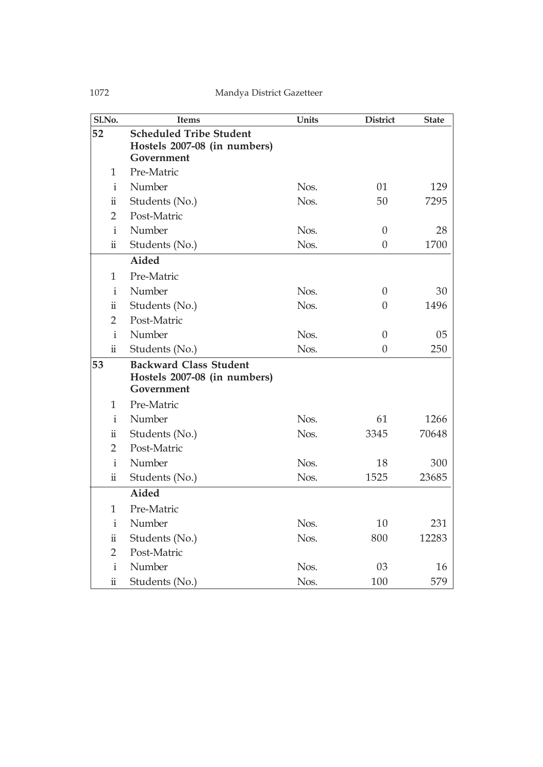| Sl.No.              | <b>Items</b>                                                                 | <b>Units</b> | <b>District</b>  | <b>State</b> |
|---------------------|------------------------------------------------------------------------------|--------------|------------------|--------------|
| 52                  | <b>Scheduled Tribe Student</b><br>Hostels 2007-08 (in numbers)<br>Government |              |                  |              |
| 1                   | Pre-Matric                                                                   |              |                  |              |
| $\mathbf{i}$        | Number                                                                       | Nos.         | 01               | 129          |
| $\ddot{\mathbf{u}}$ | Students (No.)                                                               | Nos.         | 50               | 7295         |
| 2                   | Post-Matric                                                                  |              |                  |              |
| $\mathbf{i}$        | Number                                                                       | Nos.         | $\theta$         | 28           |
| $\ddot{\mathbf{u}}$ | Students (No.)                                                               | Nos.         | $\boldsymbol{0}$ | 1700         |
|                     | Aided                                                                        |              |                  |              |
| 1                   | Pre-Matric                                                                   |              |                  |              |
| $\mathbf{i}$        | Number                                                                       | Nos.         | $\overline{0}$   | 30           |
| $\ddot{\mathbf{u}}$ | Students (No.)                                                               | Nos.         | $\Omega$         | 1496         |
| $\overline{2}$      | Post-Matric                                                                  |              |                  |              |
| $\mathbf{i}$        | Number                                                                       | Nos.         | $\theta$         | 05           |
| $\ddot{\mathbf{u}}$ | Students (No.)                                                               | Nos.         | $\boldsymbol{0}$ | 250          |
| 53                  | <b>Backward Class Student</b><br>Hostels 2007-08 (in numbers)<br>Government  |              |                  |              |
| 1                   | Pre-Matric                                                                   |              |                  |              |
| $\mathbf{i}$        | Number                                                                       | Nos.         | 61               | 1266         |
| ü                   | Students (No.)                                                               | Nos.         | 3345             | 70648        |
| $\overline{2}$      | Post-Matric                                                                  |              |                  |              |
| $\mathbf{i}$        | Number                                                                       | Nos.         | 18               | 300          |
| ü                   | Students (No.)                                                               | Nos.         | 1525             | 23685        |
|                     | Aided                                                                        |              |                  |              |
| 1                   | Pre-Matric                                                                   |              |                  |              |
| i                   | Number                                                                       | Nos.         | 10               | 231          |
| $\ddot{\mathbf{u}}$ | Students (No.)                                                               | Nos.         | 800              | 12283        |
| $\overline{2}$      | Post-Matric                                                                  |              |                  |              |
| i                   | Number                                                                       | Nos.         | 03               | 16           |
| $\ddot{\rm n}$      | Students (No.)                                                               | Nos.         | 100              | 579          |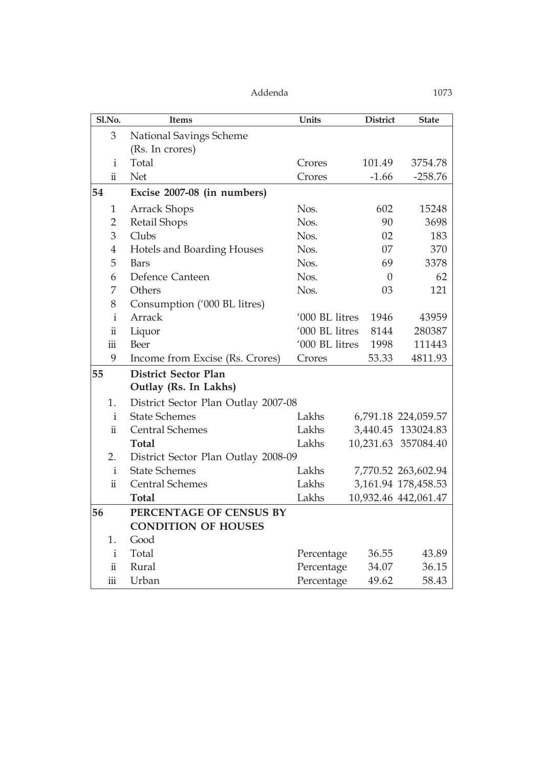| Sl.No.                  | <b>Items</b>                        | Units          | <b>District</b> | <b>State</b>          |
|-------------------------|-------------------------------------|----------------|-----------------|-----------------------|
| 3                       | <b>National Savings Scheme</b>      |                |                 |                       |
|                         | (Rs. In crores)                     |                |                 |                       |
| $\mathbf{i}$            | Total                               | Crores         | 101.49          | 3754.78               |
| $\ddot{\mathbf{u}}$     | Net                                 | Crores         | $-1.66$         | $-258.76$             |
| 54                      | Excise 2007-08 (in numbers)         |                |                 |                       |
| 1                       | <b>Arrack Shops</b>                 | Nos.           | 602             | 15248                 |
| 2                       | Retail Shops                        | Nos.           | 90              | 3698                  |
| 3                       | Clubs                               | Nos.           | 02              | 183                   |
| $\overline{4}$          | Hotels and Boarding Houses          | Nos.           | 07              | 370                   |
| 5                       | <b>Bars</b>                         | Nos.           | 69              | 3378                  |
| 6                       | Defence Canteen                     | Nos.           | $\theta$        | 62                    |
| 7                       | Others                              | Nos.           | 03              | 121                   |
| 8                       | Consumption ('000 BL litres)        |                |                 |                       |
| $\mathbf{i}$            | Arrack                              | '000 BL litres | 1946            | 43959                 |
| $\ddot{\rm n}$          | Liquor                              | '000 BL litres | 8144            | 280387                |
| $\dddot{\mathbf{m}}$    | Beer                                | '000 BL litres | 1998            | 111443                |
| 9                       | Income from Excise (Rs. Crores)     | Crores         | 53.33           | 4811.93               |
| 55                      | <b>District Sector Plan</b>         |                |                 |                       |
|                         | Outlay (Rs. In Lakhs)               |                |                 |                       |
| 1.                      | District Sector Plan Outlay 2007-08 |                |                 |                       |
| $\mathbf{i}$            | <b>State Schemes</b>                | Lakhs          |                 | 6,791.18 224,059.57   |
| $\ddot{\mathbf{i}}$     | <b>Central Schemes</b>              | Lakhs          |                 | 3,440.45 133024.83    |
|                         | <b>Total</b>                        | Lakhs          |                 | 10,231.63 357084.40   |
| 2.                      | District Sector Plan Outlay 2008-09 |                |                 |                       |
| $\mathbf{i}$            | <b>State Schemes</b>                | Lakhs          |                 | 7,770.52 263,602.94   |
| $\ddot{\rm n}$          | <b>Central Schemes</b>              | Lakhs          |                 | 3, 161.94 178, 458.53 |
|                         | <b>Total</b>                        | Lakhs          |                 | 10,932.46 442,061.47  |
| 56                      | PERCENTAGE OF CENSUS BY             |                |                 |                       |
|                         | <b>CONDITION OF HOUSES</b>          |                |                 |                       |
| 1.                      | Good                                |                |                 |                       |
| $\mathbf{i}$            | Total                               | Percentage     | 36.55           | 43.89                 |
| $\ddot{\rm n}$          | Rural                               | Percentage     | 34.07           | 36.15                 |
| $\overline{\text{iii}}$ | Urban                               | Percentage     | 49.62           | 58.43                 |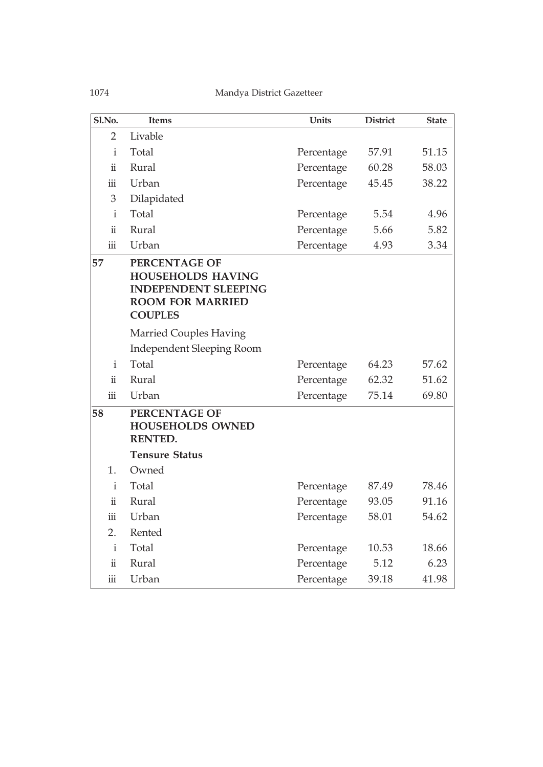| Sl.No.               | <b>Items</b>                                                                                                          | Units      | <b>District</b> | <b>State</b> |
|----------------------|-----------------------------------------------------------------------------------------------------------------------|------------|-----------------|--------------|
| $\overline{2}$       | Livable                                                                                                               |            |                 |              |
| $\mathbf{i}$         | Total                                                                                                                 | Percentage | 57.91           | 51.15        |
| $\ddot{\mathbf{u}}$  | Rural                                                                                                                 | Percentage | 60.28           | 58.03        |
| iii                  | Urban                                                                                                                 | Percentage | 45.45           | 38.22        |
| 3                    | Dilapidated                                                                                                           |            |                 |              |
| $\mathbf{i}$         | Total                                                                                                                 | Percentage | 5.54            | 4.96         |
| $\ddot{\mathbf{u}}$  | Rural                                                                                                                 | Percentage | 5.66            | 5.82         |
| iii                  | Urban                                                                                                                 | Percentage | 4.93            | 3.34         |
| 57                   | PERCENTAGE OF<br><b>HOUSEHOLDS HAVING</b><br><b>INDEPENDENT SLEEPING</b><br><b>ROOM FOR MARRIED</b><br><b>COUPLES</b> |            |                 |              |
|                      | <b>Married Couples Having</b>                                                                                         |            |                 |              |
|                      | <b>Independent Sleeping Room</b>                                                                                      |            |                 |              |
| $\mathbf{i}$         | Total                                                                                                                 | Percentage | 64.23           | 57.62        |
| $\ddot{\mathbf{u}}$  | Rural                                                                                                                 | Percentage | 62.32           | 51.62        |
| $\dddot{\mathbf{m}}$ | Urban                                                                                                                 | Percentage | 75.14           | 69.80        |
| 58                   | PERCENTAGE OF<br><b>HOUSEHOLDS OWNED</b><br><b>RENTED.</b>                                                            |            |                 |              |
|                      | <b>Tensure Status</b>                                                                                                 |            |                 |              |
| 1.                   | Owned                                                                                                                 |            |                 |              |
| $\mathbf{i}$         | Total                                                                                                                 | Percentage | 87.49           | 78.46        |
| $\ddot{\rm n}$       | Rural                                                                                                                 | Percentage | 93.05           | 91.16        |
| iii                  | Urban                                                                                                                 | Percentage | 58.01           | 54.62        |
| 2.                   | Rented                                                                                                                |            |                 |              |
| $\mathbf{i}$         | Total                                                                                                                 | Percentage | 10.53           | 18.66        |
| $\ddot{\mathbf{u}}$  | Rural                                                                                                                 | Percentage | 5.12            | 6.23         |
| iii                  | Urban                                                                                                                 | Percentage | 39.18           | 41.98        |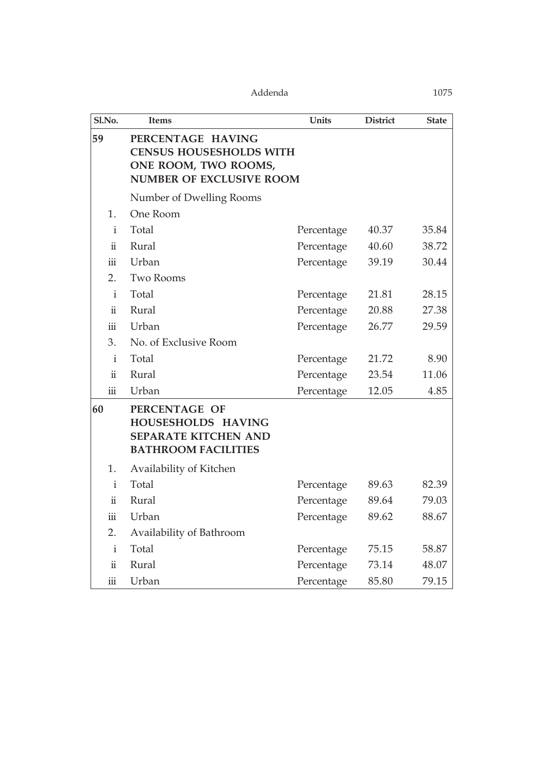| Sl.No.                  | <b>Items</b>                                                                                                   | Units                        | <b>District</b> | <b>State</b> |  |  |  |  |
|-------------------------|----------------------------------------------------------------------------------------------------------------|------------------------------|-----------------|--------------|--|--|--|--|
| 59                      | PERCENTAGE HAVING<br><b>CENSUS HOUSESHOLDS WITH</b><br>ONE ROOM, TWO ROOMS,<br><b>NUMBER OF EXCLUSIVE ROOM</b> |                              |                 |              |  |  |  |  |
|                         | Number of Dwelling Rooms                                                                                       |                              |                 |              |  |  |  |  |
| 1.                      | One Room                                                                                                       |                              |                 |              |  |  |  |  |
| $\mathbf{i}$            | Total                                                                                                          | Percentage                   | 40.37           | 35.84        |  |  |  |  |
| $\ddot{\mathbf{i}}$     | Rural                                                                                                          | Percentage                   | 40.60           | 38.72        |  |  |  |  |
| iii                     | Urban                                                                                                          | Percentage                   | 39.19           | 30.44        |  |  |  |  |
| 2.                      | <b>Two Rooms</b>                                                                                               |                              |                 |              |  |  |  |  |
| $\mathbf{i}$            | Total                                                                                                          | Percentage                   | 21.81           | 28.15        |  |  |  |  |
| $\ddot{\mathbf{u}}$     | Rural                                                                                                          | Percentage                   | 20.88           | 27.38        |  |  |  |  |
| iii                     | Urban                                                                                                          | Percentage<br>26.77<br>29.59 |                 |              |  |  |  |  |
| 3.                      | No. of Exclusive Room                                                                                          |                              |                 |              |  |  |  |  |
| $\mathbf{i}$            | Total                                                                                                          | Percentage                   | 21.72           | 8.90         |  |  |  |  |
| $\ddot{\mathbf{u}}$     | Rural                                                                                                          | Percentage                   | 23.54           | 11.06        |  |  |  |  |
| $\overline{\text{iii}}$ | Urban                                                                                                          | Percentage                   | 12.05           | 4.85         |  |  |  |  |
| 60                      | PERCENTAGE OF<br>HOUSESHOLDS HAVING<br><b>SEPARATE KITCHEN AND</b><br><b>BATHROOM FACILITIES</b>               |                              |                 |              |  |  |  |  |
| 1.                      | Availability of Kitchen                                                                                        |                              |                 |              |  |  |  |  |
| $\mathbf{i}$            | Total                                                                                                          | Percentage                   | 89.63           | 82.39        |  |  |  |  |
| $\ddot{\rm n}$          | Rural                                                                                                          | Percentage                   | 89.64           | 79.03        |  |  |  |  |
| iii                     | Urban                                                                                                          | Percentage                   | 89.62           | 88.67        |  |  |  |  |
| 2.                      | Availability of Bathroom                                                                                       |                              |                 |              |  |  |  |  |
| $\mathbf{i}$            | Total                                                                                                          | Percentage                   | 75.15           | 58.87        |  |  |  |  |
| $\ddot{\rm n}$          | Rural                                                                                                          | Percentage                   | 73.14           | 48.07        |  |  |  |  |
| $\rm iii$               | Urban                                                                                                          | Percentage                   | 85.80           | 79.15        |  |  |  |  |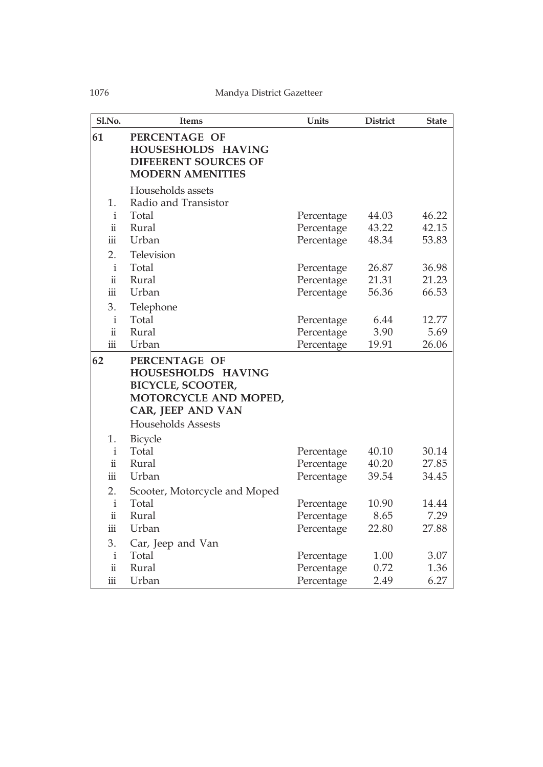| Sl.No.                  | <b>Items</b>                                                                                                                               | <b>Units</b> | <b>District</b> | <b>State</b> |
|-------------------------|--------------------------------------------------------------------------------------------------------------------------------------------|--------------|-----------------|--------------|
| 61                      | PERCENTAGE OF<br>HOUSESHOLDS HAVING<br><b>DIFEERENT SOURCES OF</b><br><b>MODERN AMENITIES</b>                                              |              |                 |              |
|                         | Households assets                                                                                                                          |              |                 |              |
| 1.                      | Radio and Transistor                                                                                                                       |              |                 |              |
| $\mathbf{i}$            | Total                                                                                                                                      | Percentage   | 44.03           | 46.22        |
| $\ddot{\mathbf{u}}$     | Rural                                                                                                                                      | Percentage   | 43.22           | 42.15        |
| $\overline{\text{iii}}$ | Urban                                                                                                                                      | Percentage   | 48.34           | 53.83        |
| 2.                      | Television                                                                                                                                 |              |                 |              |
| $\mathbf{i}$            | Total                                                                                                                                      | Percentage   | 26.87           | 36.98        |
| $\ddot{\mathbf{u}}$     | Rural                                                                                                                                      | Percentage   | 21.31           | 21.23        |
| $\overline{\text{iii}}$ | Urban                                                                                                                                      | Percentage   | 56.36           | 66.53        |
| 3.                      | Telephone                                                                                                                                  |              |                 |              |
| $\mathbf{i}$            | Total                                                                                                                                      | Percentage   | 6.44            | 12.77        |
| $\ddot{\rm n}$          | Rural                                                                                                                                      | Percentage   | 3.90            | 5.69         |
| $\overline{\text{iii}}$ | Urban                                                                                                                                      | Percentage   | 19.91           | 26.06        |
| 62                      | PERCENTAGE OF<br>HOUSESHOLDS HAVING<br><b>BICYCLE, SCOOTER,</b><br>MOTORCYCLE AND MOPED,<br>CAR, JEEP AND VAN<br><b>Households Assests</b> |              |                 |              |
| 1.                      | Bicycle                                                                                                                                    |              |                 |              |
| $\mathbf{i}$            | Total                                                                                                                                      | Percentage   | 40.10           | 30.14        |
| $\ddot{\mathbf{u}}$     | Rural                                                                                                                                      | Percentage   | 40.20           | 27.85        |
| $\overline{\text{iii}}$ | Urban                                                                                                                                      | Percentage   | 39.54           | 34.45        |
| 2.                      | Scooter, Motorcycle and Moped                                                                                                              |              |                 |              |
| $\rm i$                 | Total                                                                                                                                      | Percentage   | 10.90           | 14.44        |
| $\ddot{\mathbf{u}}$     | Rural                                                                                                                                      | Percentage   | 8.65            | 7.29         |
| iii                     | Urban                                                                                                                                      | Percentage   | 22.80           | 27.88        |
| 3.                      | Car, Jeep and Van                                                                                                                          |              |                 |              |
| $\mathbf{i}$            | Total                                                                                                                                      | Percentage   | 1.00            | 3.07         |
| $\ddot{\mathbf{u}}$     | Rural                                                                                                                                      | Percentage   | 0.72            | 1.36         |
| iii                     | Urban                                                                                                                                      | Percentage   | 2.49            | 6.27         |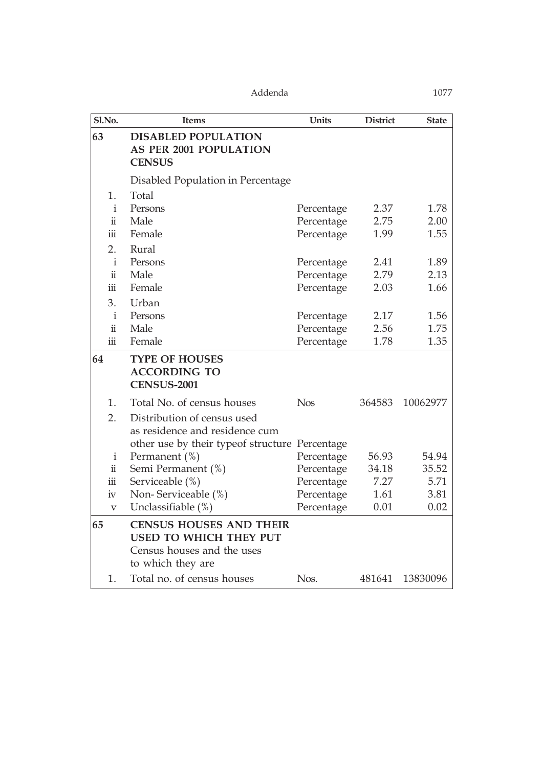| Sl.No.                  | <b>Items</b>                                                          | Units      | <b>District</b> | <b>State</b> |
|-------------------------|-----------------------------------------------------------------------|------------|-----------------|--------------|
| 63                      | <b>DISABLED POPULATION</b><br>AS PER 2001 POPULATION<br><b>CENSUS</b> |            |                 |              |
|                         | Disabled Population in Percentage                                     |            |                 |              |
| 1.                      | Total                                                                 |            |                 |              |
| $\mathbf{i}$            | Persons                                                               | Percentage | 2.37            | 1.78         |
| $\ddot{\mathbf{u}}$     | Male                                                                  | Percentage | 2.75            | 2.00         |
| $\overline{\text{iii}}$ | Female                                                                | Percentage | 1.99            | 1.55         |
| 2.                      | Rural                                                                 |            |                 |              |
| $\mathbf{i}$            | Persons                                                               | Percentage | 2.41            | 1.89         |
| $\ddot{\mathbf{u}}$     | Male                                                                  | Percentage | 2.79            | 2.13         |
| $\overline{\text{iii}}$ | Female                                                                | Percentage | 2.03            | 1.66         |
| 3.                      | Urban                                                                 |            |                 |              |
| $\mathbf{i}$            | Persons                                                               | Percentage | 2.17            | 1.56         |
| $\ddot{\mathbf{u}}$     | Male                                                                  | Percentage | 2.56            | 1.75         |
| iii                     | Female                                                                | Percentage | 1.78            | 1.35         |
| 64                      | <b>TYPE OF HOUSES</b><br><b>ACCORDING TO</b><br><b>CENSUS-2001</b>    |            |                 |              |
| 1.                      | Total No. of census houses                                            | <b>Nos</b> | 364583          | 10062977     |
| 2.                      | Distribution of census used<br>as residence and residence cum         |            |                 |              |
|                         | other use by their typeof structure Percentage                        |            |                 |              |
| $\mathbf{i}$            | Permanent $(\%)$                                                      | Percentage | 56.93           | 54.94        |
| $\ddot{\rm n}$          | Semi Permanent (%)                                                    | Percentage | 34.18           | 35.52        |
| $\overline{\text{iii}}$ | Serviceable (%)                                                       | Percentage | 7.27            | 5.71         |
| iv                      | Non-Serviceable (%)                                                   | Percentage | 1.61            | 3.81         |
| V                       | Unclassifiable (%)                                                    | Percentage | 0.01            | 0.02         |
| 65                      | <b>CENSUS HOUSES AND THEIR</b><br>USED TO WHICH THEY PUT              |            |                 |              |
|                         | Census houses and the uses<br>to which they are                       |            |                 |              |
| 1.                      | Total no. of census houses                                            | Nos.       | 481641          | 13830096     |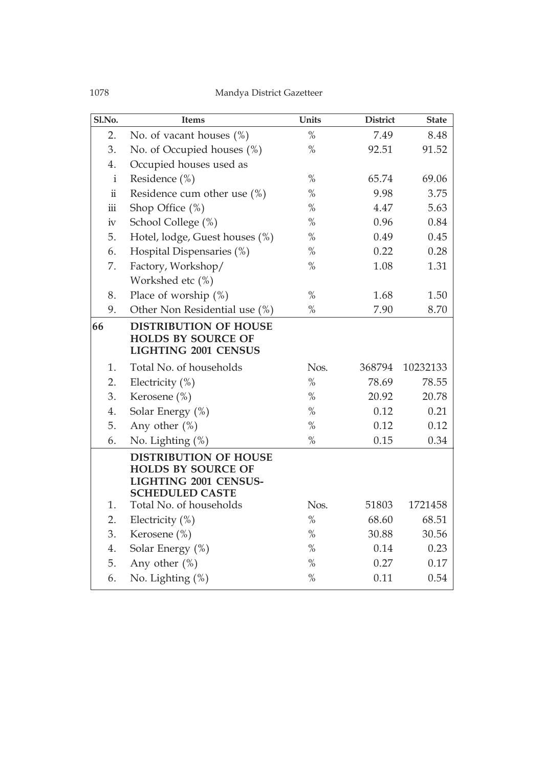| Sl.No.              | <b>Items</b>                                                                                                        | Units         | <b>District</b> | <b>State</b> |
|---------------------|---------------------------------------------------------------------------------------------------------------------|---------------|-----------------|--------------|
| 2.                  | No. of vacant houses $(\%)$                                                                                         | $\%$          | 7.49            | 8.48         |
| 3.                  | No. of Occupied houses (%)                                                                                          | $\%$          | 92.51           | 91.52        |
| 4.                  | Occupied houses used as                                                                                             |               |                 |              |
| $\mathbf{i}$        | Residence (%)                                                                                                       | $\%$          | 65.74           | 69.06        |
| $\ddot{\rm n}$      | Residence cum other use $(\%)$                                                                                      | $\%$          | 9.98            | 3.75         |
| $\ddot{\text{iii}}$ | Shop Office $(\%)$                                                                                                  | $\%$          | 4.47            | 5.63         |
| iv                  | School College (%)                                                                                                  | $\%$          | 0.96            | 0.84         |
| 5.                  | Hotel, lodge, Guest houses (%)                                                                                      | $\%$          | 0.49            | 0.45         |
| 6.                  | Hospital Dispensaries (%)                                                                                           | $\%$          | 0.22            | 0.28         |
| 7.                  | Factory, Workshop/                                                                                                  | $\%$          | 1.08            | 1.31         |
|                     | Workshed etc (%)                                                                                                    |               |                 |              |
| 8.                  | Place of worship $(\%)$                                                                                             | $\frac{0}{0}$ | 1.68            | 1.50         |
| 9.                  | Other Non Residential use (%)                                                                                       | $\%$          | 7.90            | 8.70         |
| 66                  | <b>DISTRIBUTION OF HOUSE</b><br><b>HOLDS BY SOURCE OF</b><br><b>LIGHTING 2001 CENSUS</b>                            |               |                 |              |
| 1.                  | Total No. of households                                                                                             | Nos.          | 368794          | 10232133     |
| 2.                  | Electricity $(\%)$                                                                                                  | $\frac{0}{0}$ | 78.69           | 78.55        |
| 3.                  | Kerosene (%)                                                                                                        | $\%$          | 20.92           | 20.78        |
| 4.                  | Solar Energy (%)                                                                                                    | $\%$          | 0.12            | 0.21         |
| 5.                  | Any other $(\%)$                                                                                                    | $\%$          | 0.12            | 0.12         |
| 6.                  | No. Lighting (%)                                                                                                    | $\%$          | 0.15            | 0.34         |
|                     | <b>DISTRIBUTION OF HOUSE</b><br><b>HOLDS BY SOURCE OF</b><br><b>LIGHTING 2001 CENSUS-</b><br><b>SCHEDULED CASTE</b> |               |                 |              |
| 1.                  | Total No. of households                                                                                             | Nos.          | 51803           | 1721458      |
| 2.                  | Electricity $(\%)$                                                                                                  | $\%$          | 68.60           | 68.51        |
| 3.                  | Kerosene (%)                                                                                                        | $\%$          | 30.88           | 30.56        |
| 4.                  | Solar Energy (%)                                                                                                    | $\%$          | 0.14            | 0.23         |
| 5.                  | Any other $(\%)$                                                                                                    | $\%$          | 0.27            | 0.17         |
| 6.                  | No. Lighting (%)                                                                                                    | $\%$          | 0.11            | 0.54         |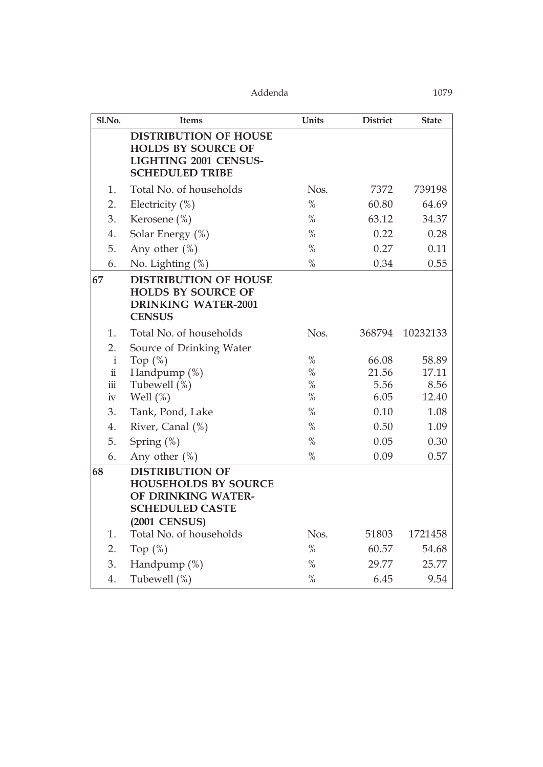| Sl.No.               | Items                                                                                                                         | Units         | <b>District</b> | <b>State</b> |
|----------------------|-------------------------------------------------------------------------------------------------------------------------------|---------------|-----------------|--------------|
|                      | <b>DISTRIBUTION OF HOUSE</b><br><b>HOLDS BY SOURCE OF</b><br><b>LIGHTING 2001 CENSUS-</b><br><b>SCHEDULED TRIBE</b>           |               |                 |              |
| 1.                   | Total No. of households                                                                                                       | Nos.          | 7372            | 739198       |
| 2.                   | Electricity $(\%)$                                                                                                            | $\frac{0}{0}$ | 60.80           | 64.69        |
| 3.                   | Kerosene (%)                                                                                                                  | $\frac{0}{0}$ | 63.12           | 34.37        |
| 4.                   | Solar Energy (%)                                                                                                              | $\frac{0}{0}$ | 0.22            | 0.28         |
| 5.                   | Any other $(\%)$                                                                                                              | $\frac{0}{0}$ | 0.27            | 0.11         |
| 6.                   | No. Lighting $(\%)$                                                                                                           | $\%$          | 0.34            | 0.55         |
| 67                   | <b>DISTRIBUTION OF HOUSE</b><br><b>HOLDS BY SOURCE OF</b><br><b>DRINKING WATER-2001</b><br><b>CENSUS</b>                      |               |                 |              |
| 1.                   | Total No. of households                                                                                                       | Nos.          | 368794          | 10232133     |
| 2.                   | Source of Drinking Water                                                                                                      |               |                 |              |
| $\mathbf i$          | Top $(\%)$                                                                                                                    | $\frac{0}{0}$ | 66.08           | 58.89        |
| $\ddot{\rm n}$       | Handpump $(\%)$                                                                                                               | $\frac{0}{0}$ | 21.56           | 17.11        |
| $\dddot{\mathbf{m}}$ | Tubewell (%)                                                                                                                  | $\frac{0}{0}$ | 5.56            | 8.56         |
| 1V                   | Well $(\%)$                                                                                                                   | $\frac{0}{0}$ | 6.05            | 12.40        |
| 3.                   | Tank, Pond, Lake                                                                                                              | $\frac{0}{0}$ | 0.10            | 1.08         |
| 4.                   | River, Canal (%)                                                                                                              | $\frac{0}{0}$ | 0.50            | 1.09         |
| 5.                   | Spring $(\%)$                                                                                                                 | $\frac{0}{0}$ | 0.05            | 0.30         |
| 6.                   | Any other $(\%)$                                                                                                              | $\frac{0}{0}$ | 0.09            | 0.57         |
| 68                   | <b>DISTRIBUTION OF</b><br><b>HOUSEHOLDS BY SOURCE</b><br>OF DRINKING WATER-<br><b>SCHEDULED CASTE</b><br><b>(2001 CENSUS)</b> |               |                 |              |
| 1.                   | Total No. of households                                                                                                       | Nos.          | 51803           | 1721458      |
| 2.                   | Top $(\%)$                                                                                                                    | $\%$          | 60.57           | 54.68        |
| 3.                   | Handpump $(\%)$                                                                                                               | $\frac{0}{0}$ | 29.77           | 25.77        |
| 4.                   | Tubewell (%)                                                                                                                  | $\%$          | 6.45            | 9.54         |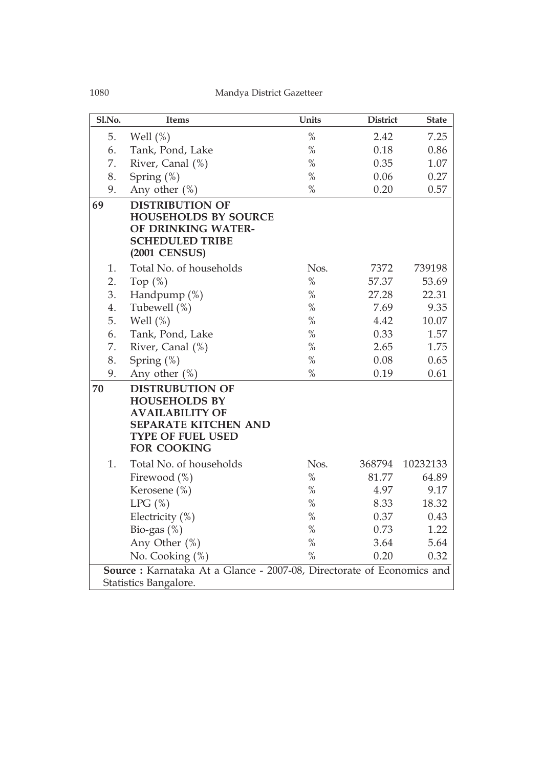| Sl.No. | Items                                                                                                                                                     | Units         | <b>District</b> | <b>State</b> |  |  |  |
|--------|-----------------------------------------------------------------------------------------------------------------------------------------------------------|---------------|-----------------|--------------|--|--|--|
| 5.     | Well $(\%)$                                                                                                                                               | $\frac{0}{0}$ | 2.42            | 7.25         |  |  |  |
| 6.     | Tank, Pond, Lake                                                                                                                                          | $\frac{0}{0}$ | 0.18            | 0.86         |  |  |  |
| 7.     | River, Canal (%)                                                                                                                                          | $\frac{0}{0}$ | 0.35            | 1.07         |  |  |  |
| 8.     | Spring $(\%)$                                                                                                                                             | $\%$          | 0.06            | 0.27         |  |  |  |
| 9.     | Any other $(\%)$                                                                                                                                          | $\%$          | 0.20            | 0.57         |  |  |  |
| 69     | <b>DISTRIBUTION OF</b><br><b>HOUSEHOLDS BY SOURCE</b><br>OF DRINKING WATER-<br><b>SCHEDULED TRIBE</b><br><b>(2001 CENSUS)</b>                             |               |                 |              |  |  |  |
| 1.     | Total No. of households                                                                                                                                   | Nos.          | 7372            | 739198       |  |  |  |
| 2.     | Top $(\%)$                                                                                                                                                | $\%$          | 57.37           | 53.69        |  |  |  |
| 3.     | Handpump $(\%)$                                                                                                                                           | $\frac{0}{0}$ | 27.28           | 22.31        |  |  |  |
| 4.     | Tubewell (%)                                                                                                                                              | $\frac{0}{0}$ | 7.69            | 9.35         |  |  |  |
| 5.     | Well $(\%)$                                                                                                                                               | $\%$          | 4.42            | 10.07        |  |  |  |
| 6.     | Tank, Pond, Lake                                                                                                                                          | $\%$          | 0.33            | 1.57         |  |  |  |
| 7.     | River, Canal (%)                                                                                                                                          | $\frac{0}{0}$ | 2.65            | 1.75         |  |  |  |
| 8.     | Spring $(\%)$                                                                                                                                             | $\%$          | 0.08            | 0.65         |  |  |  |
| 9.     | Any other $(\%)$                                                                                                                                          | $\frac{0}{0}$ | 0.19            | 0.61         |  |  |  |
| 70     | <b>DISTRUBUTION OF</b><br><b>HOUSEHOLDS BY</b><br><b>AVAILABILITY OF</b><br><b>SEPARATE KITCHEN AND</b><br><b>TYPE OF FUEL USED</b><br><b>FOR COOKING</b> |               |                 |              |  |  |  |
| 1.     | Total No. of households                                                                                                                                   | Nos.          | 368794          | 10232133     |  |  |  |
|        | Firewood $(\%)$                                                                                                                                           | $\%$          | 81.77           | 64.89        |  |  |  |
|        | Kerosene (%)                                                                                                                                              | $\%$          | 4.97            | 9.17         |  |  |  |
|        | LPG(%)                                                                                                                                                    | $\%$          | 8.33            | 18.32        |  |  |  |
|        | Electricity $(\%)$                                                                                                                                        | $\%$          | 0.37            | 0.43         |  |  |  |
|        | Bio-gas $(\%)$                                                                                                                                            | $\%$          | 0.73            | 1.22         |  |  |  |
|        | Any Other $(\%)$                                                                                                                                          | $\frac{0}{0}$ | 3.64            | 5.64         |  |  |  |
|        | No. Cooking (%)                                                                                                                                           | $\frac{0}{0}$ | 0.20            | 0.32         |  |  |  |
|        | Source: Karnataka At a Glance - 2007-08, Directorate of Economics and                                                                                     |               |                 |              |  |  |  |
|        | Statistics Bangalore.                                                                                                                                     |               |                 |              |  |  |  |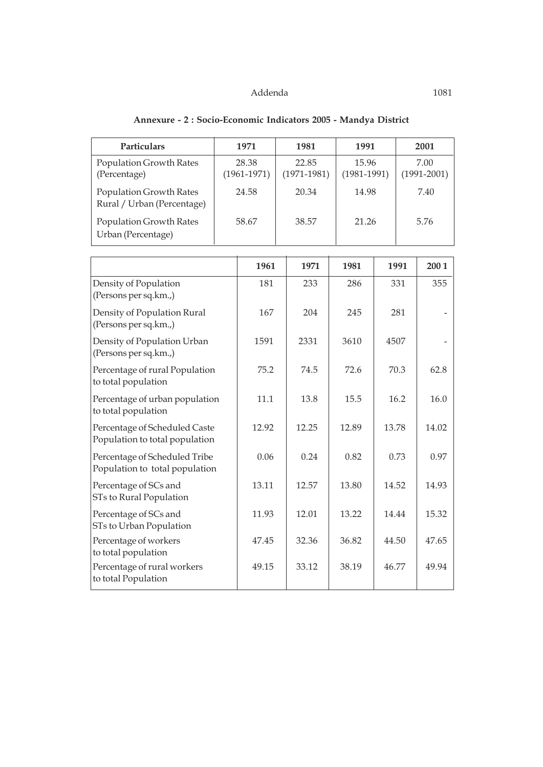| Particulars                                                     |                          | 1971  | 1981                     |       | 1991                     |      | 2001                    |  |
|-----------------------------------------------------------------|--------------------------|-------|--------------------------|-------|--------------------------|------|-------------------------|--|
| Population Growth Rates<br>(Percentage)                         | 28.38<br>$(1961 - 1971)$ |       | 22.85<br>$(1971 - 1981)$ |       | 15.96<br>$(1981 - 1991)$ |      | 7.00<br>$(1991 - 2001)$ |  |
| Population Growth Rates<br>Rural / Urban (Percentage)           |                          | 24.58 | 20.34                    | 14.98 |                          | 7.40 |                         |  |
| Population Growth Rates<br>Urban (Percentage)                   | 58.67                    |       | 38.57                    | 21.26 |                          |      | 5.76                    |  |
|                                                                 |                          | 1961  | 1971                     | 1981  |                          | 1991 | 2001                    |  |
| Density of Population<br>(Persons per sq.km.,)                  |                          | 181   | 233                      | 286   |                          | 331  | 355                     |  |
| Density of Population Rural<br>(Persons per sq.km.,)            |                          | 167   | 204                      | 245   |                          | 281  |                         |  |
| Density of Population Urban<br>(Persons per sq.km.,)            |                          | 1591  | 2331                     | 3610  | 4507                     |      |                         |  |
| Percentage of rural Population<br>to total population           |                          | 75.2  | 74.5                     | 72.6  |                          | 70.3 | 62.8                    |  |
| Percentage of urban population<br>to total population           |                          | 11.1  | 13.8                     | 15.5  |                          | 16.2 | 16.0                    |  |
| Percentage of Scheduled Caste<br>Population to total population |                          | 12.92 | 12.25                    | 12.89 | 13.78                    |      | 14.02                   |  |
| Percentage of Scheduled Tribe<br>Population to total population |                          | 0.06  | 0.24                     | 0.82  |                          | 0.73 | 0.97                    |  |
| Percentage of SCs and<br>STs to Rural Population                |                          | 13.11 | 12.57                    | 13.80 | 14.52                    |      | 14.93                   |  |
| Percentage of SCs and<br>STs to Urban Population                |                          | 11.93 | 12.01                    | 13.22 | 14.44                    |      | 15.32                   |  |
| Percentage of workers<br>to total population                    |                          | 47.45 | 32.36                    | 36.82 | 44.50                    |      | 47.65                   |  |
| Percentage of rural workers<br>to total Population              |                          | 49.15 | 33.12                    | 38.19 | 46.77                    |      | 49.94                   |  |

# **Annexure - 2 : Socio-Economic Indicators 2005 - Mandya District**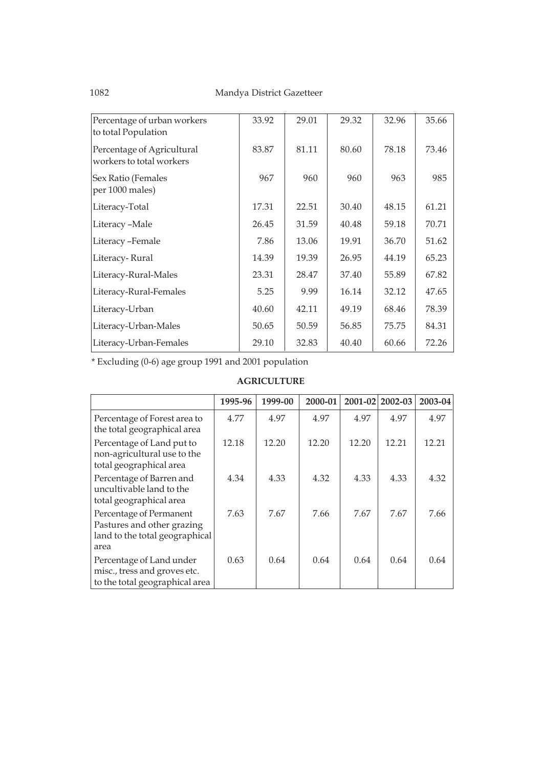| Percentage of urban workers<br>to total Population     | 33.92 | 29.01 | 29.32 | 32.96 | 35.66 |
|--------------------------------------------------------|-------|-------|-------|-------|-------|
| Percentage of Agricultural<br>workers to total workers | 83.87 | 81.11 | 80.60 | 78.18 | 73.46 |
| Sex Ratio (Females<br>per 1000 males)                  | 967   | 960   | 960   | 963   | 985   |
| Literacy-Total                                         | 17.31 | 22.51 | 30.40 | 48.15 | 61.21 |
| Literacy-Male                                          | 26.45 | 31.59 | 40.48 | 59.18 | 70.71 |
| Literacy-Female                                        | 7.86  | 13.06 | 19.91 | 36.70 | 51.62 |
| Literacy-Rural                                         | 14.39 | 19.39 | 26.95 | 44.19 | 65.23 |
| Literacy-Rural-Males                                   | 23.31 | 28.47 | 37.40 | 55.89 | 67.82 |
| Literacy-Rural-Females                                 | 5.25  | 9.99  | 16.14 | 32.12 | 47.65 |
| Literacy-Urban                                         | 40.60 | 42.11 | 49.19 | 68.46 | 78.39 |
| Literacy-Urban-Males                                   | 50.65 | 50.59 | 56.85 | 75.75 | 84.31 |
| Literacy-Urban-Females                                 | 29.10 | 32.83 | 40.40 | 60.66 | 72.26 |

\* Excluding (0-6) age group 1991 and 2001 population

#### **AGRICULTURE**

|                                                                                                 | 1995-96 | 1999-00 | 2000-01 | 2001-02 | 2002-03 | 2003-04 |
|-------------------------------------------------------------------------------------------------|---------|---------|---------|---------|---------|---------|
| Percentage of Forest area to<br>the total geographical area                                     | 4.77    | 4.97    | 4.97    | 4.97    | 4.97    | 4.97    |
| Percentage of Land put to<br>non-agricultural use to the<br>total geographical area             | 12.18   | 12.20   | 12.20   | 12.20   | 12.21   | 12.21   |
| Percentage of Barren and<br>uncultivable land to the<br>total geographical area                 | 4.34    | 4.33    | 4.32    | 4.33    | 4.33    | 4.32    |
| Percentage of Permanent<br>Pastures and other grazing<br>land to the total geographical<br>area | 7.63    | 7.67    | 7.66    | 7.67    | 7.67    | 7.66    |
| Percentage of Land under<br>misc., tress and groves etc.<br>to the total geographical area      | 0.63    | 0.64    | 0.64    | 0.64    | 0.64    | 0.64    |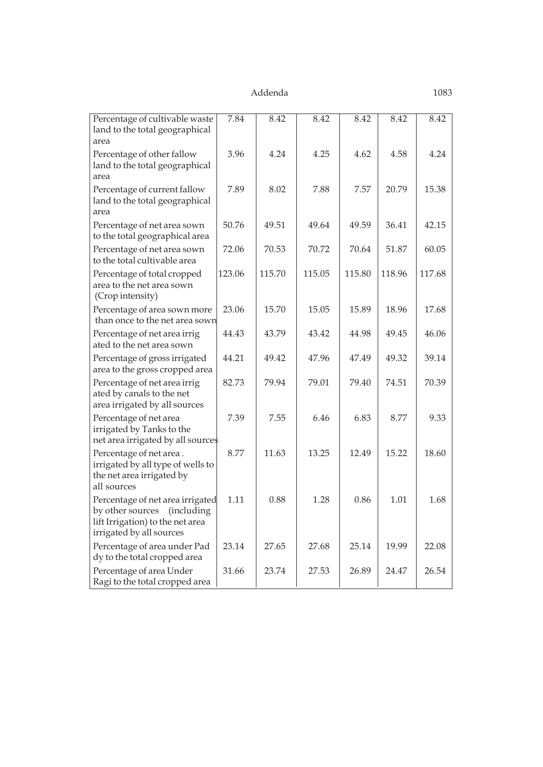| Percentage of cultivable waste<br>land to the total geographical                                                                | 7.84   | 8.42   | 8.42   | 8.42   | 8.42   | 8.42   |
|---------------------------------------------------------------------------------------------------------------------------------|--------|--------|--------|--------|--------|--------|
| area                                                                                                                            |        |        |        |        |        |        |
| Percentage of other fallow<br>land to the total geographical<br>area                                                            | 3.96   | 4.24   | 4.25   | 4.62   | 4.58   | 4.24   |
| Percentage of current fallow<br>land to the total geographical<br>area                                                          | 7.89   | 8.02   | 7.88   | 7.57   | 20.79  | 15.38  |
| Percentage of net area sown<br>to the total geographical area                                                                   | 50.76  | 49.51  | 49.64  | 49.59  | 36.41  | 42.15  |
| Percentage of net area sown<br>to the total cultivable area                                                                     | 72.06  | 70.53  | 70.72  | 70.64  | 51.87  | 60.05  |
| Percentage of total cropped<br>area to the net area sown<br>(Crop intensity)                                                    | 123.06 | 115.70 | 115.05 | 115.80 | 118.96 | 117.68 |
| Percentage of area sown more<br>than once to the net area sown                                                                  | 23.06  | 15.70  | 15.05  | 15.89  | 18.96  | 17.68  |
| Percentage of net area irrig<br>ated to the net area sown                                                                       | 44.43  | 43.79  | 43.42  | 44.98  | 49.45  | 46.06  |
| Percentage of gross irrigated<br>area to the gross cropped area                                                                 | 44.21  | 49.42  | 47.96  | 47.49  | 49.32  | 39.14  |
| Percentage of net area irrig<br>ated by canals to the net<br>area irrigated by all sources                                      | 82.73  | 79.94  | 79.01  | 79.40  | 74.51  | 70.39  |
| Percentage of net area<br>irrigated by Tanks to the<br>net area irrigated by all sources                                        | 7.39   | 7.55   | 6.46   | 6.83   | 8.77   | 9.33   |
| Percentage of net area.<br>irrigated by all type of wells to<br>the net area irrigated by<br>all sources                        | 8.77   | 11.63  | 13.25  | 12.49  | 15.22  | 18.60  |
| Percentage of net area irrigated<br>by other sources (including<br>lift Irrigation) to the net area<br>irrigated by all sources | 1.11   | 0.88   | 1.28   | 0.86   | 1.01   | 1.68   |
| Percentage of area under Pad<br>dy to the total cropped area                                                                    | 23.14  | 27.65  | 27.68  | 25.14  | 19.99  | 22.08  |
| Percentage of area Under<br>Ragi to the total cropped area                                                                      | 31.66  | 23.74  | 27.53  | 26.89  | 24.47  | 26.54  |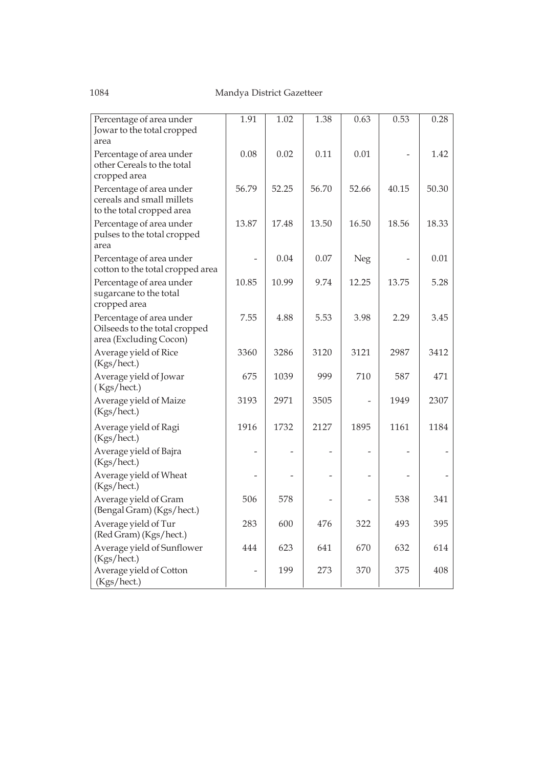| Percentage of area under                                                            | 1.91  | 1.02  | 1.38  | 0.63           | 0.53  | 0.28  |
|-------------------------------------------------------------------------------------|-------|-------|-------|----------------|-------|-------|
| Jowar to the total cropped                                                          |       |       |       |                |       |       |
| area                                                                                |       |       |       |                |       |       |
| Percentage of area under<br>other Cereals to the total                              | 0.08  | 0.02  | 0.11  | 0.01           |       | 1.42  |
| cropped area                                                                        |       |       |       |                |       |       |
| Percentage of area under<br>cereals and small millets<br>to the total cropped area  | 56.79 | 52.25 | 56.70 | 52.66          | 40.15 | 50.30 |
| Percentage of area under<br>pulses to the total cropped<br>area                     | 13.87 | 17.48 | 13.50 | 16.50          | 18.56 | 18.33 |
| Percentage of area under<br>cotton to the total cropped area                        |       | 0.04  | 0.07  | Neg            |       | 0.01  |
| Percentage of area under<br>sugarcane to the total<br>cropped area                  | 10.85 | 10.99 | 9.74  | 12.25          | 13.75 | 5.28  |
| Percentage of area under<br>Oilseeds to the total cropped<br>area (Excluding Cocon) | 7.55  | 4.88  | 5.53  | 3.98           | 2.29  | 3.45  |
| Average yield of Rice<br>(Kgs/hect.)                                                | 3360  | 3286  | 3120  | 3121           | 2987  | 3412  |
| Average yield of Jowar<br>(Kgs/hect.)                                               | 675   | 1039  | 999   | 710            | 587   | 471   |
| Average yield of Maize<br>(Kgs/hect.)                                               | 3193  | 2971  | 3505  |                | 1949  | 2307  |
| Average yield of Ragi<br>(Kgs/hect.)                                                | 1916  | 1732  | 2127  | 1895           | 1161  | 1184  |
| Average yield of Bajra<br>(Kgs/hect.)                                               |       |       |       |                |       |       |
| Average yield of Wheat<br>(Kgs/hect.)                                               |       |       |       | $\overline{a}$ |       |       |
| Average yield of Gram<br>(Bengal Gram) (Kgs/hect.)                                  | 506   | 578   |       | $\overline{a}$ | 538   | 341   |
| Average yield of Tur<br>(Red Gram) (Kgs/hect.)                                      | 283   | 600   | 476   | 322            | 493   | 395   |
| Average yield of Sunflower<br>(Kgs/hect.)                                           | 444   | 623   | 641   | 670            | 632   | 614   |
| Average yield of Cotton<br>(Kgs/hect.)                                              |       | 199   | 273   | 370            | 375   | 408   |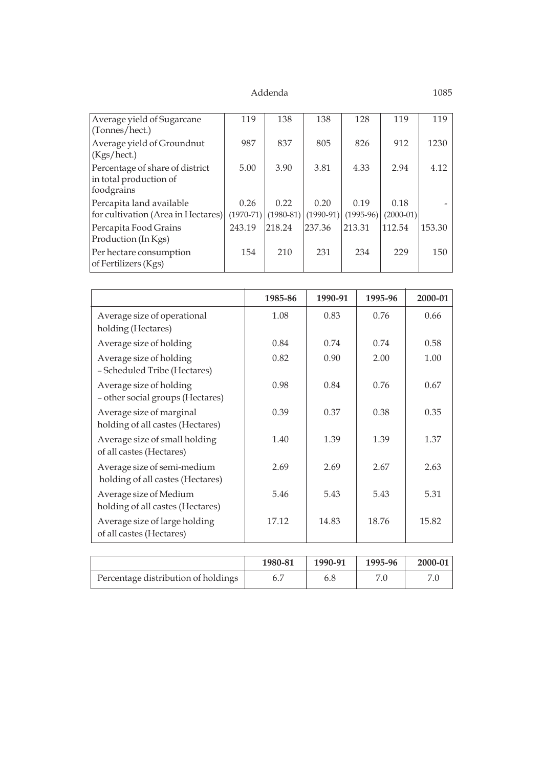| Average yield of Sugarcane<br>(Tonnes/hect.)                            | 119                 | 138                 | 138                 | 128                 | 119                 | 119    |
|-------------------------------------------------------------------------|---------------------|---------------------|---------------------|---------------------|---------------------|--------|
| Average yield of Groundnut<br>(Kgs/hect.)                               | 987                 | 837                 | 805                 | 826                 | 912                 | 1230   |
| Percentage of share of district<br>in total production of<br>foodgrains | 5.00                | 3.90                | 3.81                | 4.33                | 2.94                | 4.12   |
| Percapita land available<br>for cultivation (Area in Hectares)          | 0.26<br>$(1970-71)$ | 0.22<br>$(1980-81)$ | 0.20<br>$(1990-91)$ | 0.19<br>$(1995-96)$ | 0.18<br>$(2000-01)$ |        |
| Percapita Food Grains<br>Production (In Kgs)                            | 243.19              | 218.24              | 237.36              | 213.31              | 112.54              | 153.30 |
| Per hectare consumption<br>of Fertilizers (Kgs)                         | 154                 | 210                 | 231                 | 234                 | 229                 | 150    |

|                                                                 | 1985-86 | 1990-91 | 1995-96 | 2000-01 |
|-----------------------------------------------------------------|---------|---------|---------|---------|
| Average size of operational<br>holding (Hectares)               | 1.08    | 0.83    | 0.76    | 0.66    |
| Average size of holding                                         | 0.84    | 0.74    | 0.74    | 0.58    |
| Average size of holding<br>- Scheduled Tribe (Hectares)         | 0.82    | 0.90    | 2.00    | 1.00    |
| Average size of holding<br>- other social groups (Hectares)     | 0.98    | 0.84    | 0.76    | 0.67    |
| Average size of marginal<br>holding of all castes (Hectares)    | 0.39    | 0.37    | 0.38    | 0.35    |
| Average size of small holding<br>of all castes (Hectares)       | 1.40    | 1.39    | 1.39    | 1.37    |
| Average size of semi-medium<br>holding of all castes (Hectares) | 2.69    | 2.69    | 2.67    | 2.63    |
| Average size of Medium<br>holding of all castes (Hectares)      | 5.46    | 5.43    | 5.43    | 5.31    |
| Average size of large holding<br>of all castes (Hectares)       | 17.12   | 14.83   | 18.76   | 15.82   |

|                                     | 1980-81 | 1990-91 | 1995-96 | $2000 - 01$ |
|-------------------------------------|---------|---------|---------|-------------|
| Percentage distribution of holdings |         |         |         |             |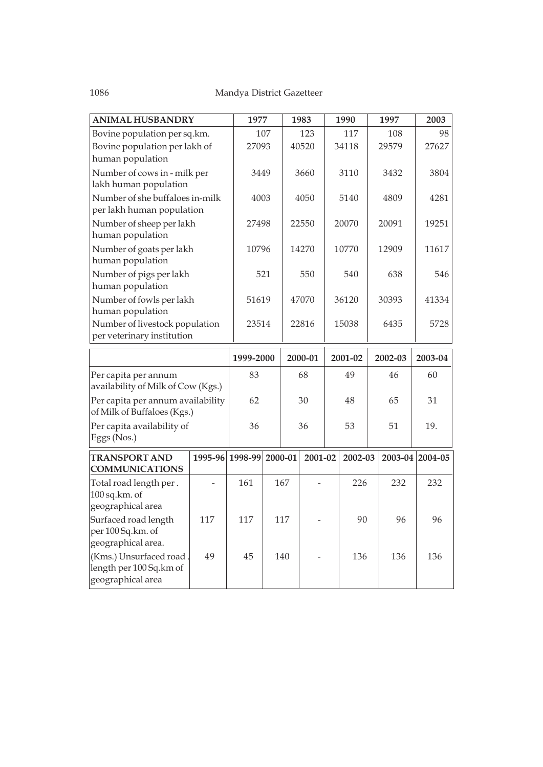| ANIMAL HUSBANDRY                                                         |                               |           |       | 1983    | 1990    | 1997    | 2003            |
|--------------------------------------------------------------------------|-------------------------------|-----------|-------|---------|---------|---------|-----------------|
| Bovine population per sq.km.                                             |                               |           | 107   | 123     | 117     | 108     | 98              |
|                                                                          | Bovine population per lakh of |           |       | 40520   | 34118   | 29579   | 27627           |
| human population                                                         |                               |           |       |         |         |         |                 |
| Number of cows in - milk per<br>lakh human population                    | 3449                          |           | 3660  | 3110    | 3432    | 3804    |                 |
| Number of she buffaloes in-milk<br>per lakh human population             | 4003                          |           | 4050  | 5140    | 4809    | 4281    |                 |
| Number of sheep per lakh<br>human population                             |                               | 27498     |       | 22550   | 20070   | 20091   | 19251           |
| Number of goats per lakh<br>human population                             |                               | 10796     |       | 14270   | 10770   | 12909   | 11617           |
| Number of pigs per lakh<br>human population                              |                               |           | 521   | 550     | 540     | 638     | 546             |
| Number of fowls per lakh<br>human population                             |                               | 51619     |       | 47070   | 36120   | 30393   | 41334           |
| Number of livestock population<br>per veterinary institution             | 23514                         |           | 22816 | 15038   | 6435    | 5728    |                 |
|                                                                          |                               |           |       |         |         |         |                 |
|                                                                          |                               | 1999-2000 |       |         |         |         |                 |
|                                                                          |                               |           |       | 2000-01 | 2001-02 | 2002-03 | 2003-04         |
| Per capita per annum<br>availability of Milk of Cow (Kgs.)               |                               | 83        |       | 68      | 49      | 46      | 60              |
| Per capita per annum availability                                        |                               | 62        |       | 30      | 48      | 65      | 31              |
| of Milk of Buffaloes (Kgs.)<br>Per capita availability of<br>Eggs (Nos.) |                               | 36        |       | 36      | 53      | 51      | 19.             |
| <b>TRANSPORT AND</b><br><b>COMMUNICATIONS</b>                            | 1995-96 1998-99 2000-01       |           |       | 2001-02 | 2002-03 |         | 2003-04 2004-05 |
| Total road length per.<br>100 sq.km. of<br>geographical area             |                               | 161       | 167   |         | 226     | 232     | 232             |
| Surfaced road length<br>per 100 Sq.km. of<br>geographical area.          | 117                           | 117       | 117   |         | 90      | 96      | 96              |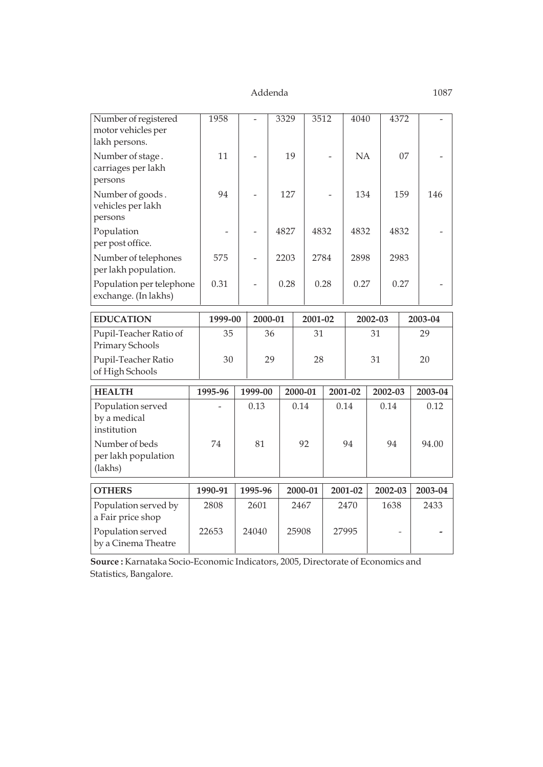| Number of registered<br>motor vehicles per                  | 1958    |      |          | 3329     |              | 3512    |           | 4040    |         | 4372    |         |         |     |  |
|-------------------------------------------------------------|---------|------|----------|----------|--------------|---------|-----------|---------|---------|---------|---------|---------|-----|--|
| lakh persons.<br>Number of stage.<br>carriages per lakh     | 11      |      |          |          | 19           |         | <b>NA</b> |         |         |         | 07      |         |     |  |
| persons<br>Number of goods.<br>vehicles per lakh<br>persons | 94      |      |          | 127      |              |         |           |         | 134     |         | 159     |         | 146 |  |
| Population<br>per post office.                              |         |      |          | 4827     |              | 4832    |           | 4832    | 4832    |         |         |         |     |  |
| Number of telephones<br>per lakh population.                | 575     |      |          | 2203     |              | 2784    |           | 2898    |         | 2983    |         |         |     |  |
| Population per telephone<br>exchange. (In lakhs)            | 0.31    |      |          |          | 0.28<br>0.28 |         |           |         |         | 0.27    |         | 0.27    |     |  |
| <b>EDUCATION</b>                                            | 1999-00 |      | 2000-01  |          | 2001-02      |         |           | 2002-03 |         |         | 2003-04 |         |     |  |
| Pupil-Teacher Ratio of<br>Primary Schools                   | 35      |      | 36<br>31 |          |              |         | 31        |         |         | 29      |         |         |     |  |
| Pupil-Teacher Ratio<br>of High Schools                      | 30      |      |          | 29<br>28 |              |         |           | 31      |         |         | 20      |         |     |  |
| <b>HEALTH</b>                                               | 1995-96 |      | 1999-00  |          | 2000-01      |         |           | 2001-02 |         | 2002-03 |         | 2003-04 |     |  |
| Population served<br>by a medical<br>institution            |         | 0.13 |          |          | 0.14         |         | 0.14      |         | 0.14    |         |         | 0.12    |     |  |
| Number of beds<br>per lakh population<br>(lakhs)            | 74      | 81   |          |          | 92           |         | 94        |         | 94      |         |         | 94.00   |     |  |
| <b>OTHERS</b>                                               | 1990-91 |      | 1995-96  |          |              | 2000-01 | 2001-02   |         | 2002-03 |         |         | 2003-04 |     |  |
| Population served by<br>a Fair price shop                   | 2808    |      | 2601     |          | 2467         |         | 2470      |         | 1638    |         |         | 2433    |     |  |
| Population served<br>by a Cinema Theatre                    | 22653   |      | 24040    |          | 25908        |         | 27995     |         |         |         |         |         |     |  |

**Source :** Karnataka Socio-Economic Indicators, 2005, Directorate of Economics and Statistics, Bangalore.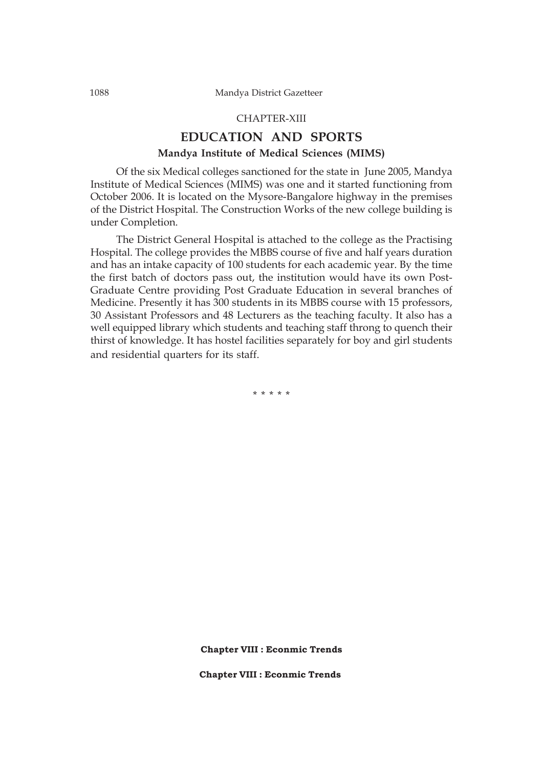#### CHAPTER-XIII

### **EDUCATION AND SPORTS Mandya Institute of Medical Sciences (MIMS)**

Of the six Medical colleges sanctioned for the state in June 2005, Mandya Institute of Medical Sciences (MIMS) was one and it started functioning from October 2006. It is located on the Mysore-Bangalore highway in the premises of the District Hospital. The Construction Works of the new college building is under Completion.

The District General Hospital is attached to the college as the Practising Hospital. The college provides the MBBS course of five and half years duration and has an intake capacity of 100 students for each academic year. By the time the first batch of doctors pass out, the institution would have its own Post-Graduate Centre providing Post Graduate Education in several branches of Medicine. Presently it has 300 students in its MBBS course with 15 professors, 30 Assistant Professors and 48 Lecturers as the teaching faculty. It also has a well equipped library which students and teaching staff throng to quench their thirst of knowledge. It has hostel facilities separately for boy and girl students and residential quarters for its staff.

\* \* \* \* \*

**Chapter VIII : Econmic Trends**

**Chapter VIII : Econmic Trends**